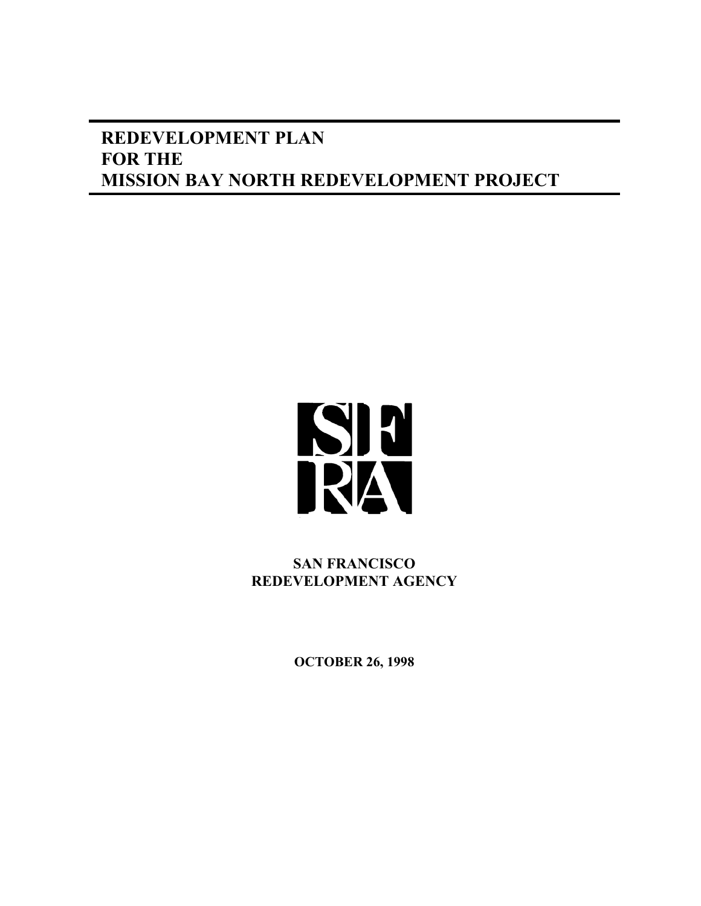# **REDEVELOPMENT PLAN FOR THE MISSION BAY NORTH REDEVELOPMENT PROJECT**



**SAN FRANCISCO REDEVELOPMENT AGENCY**

**OCTOBER 26, 1998**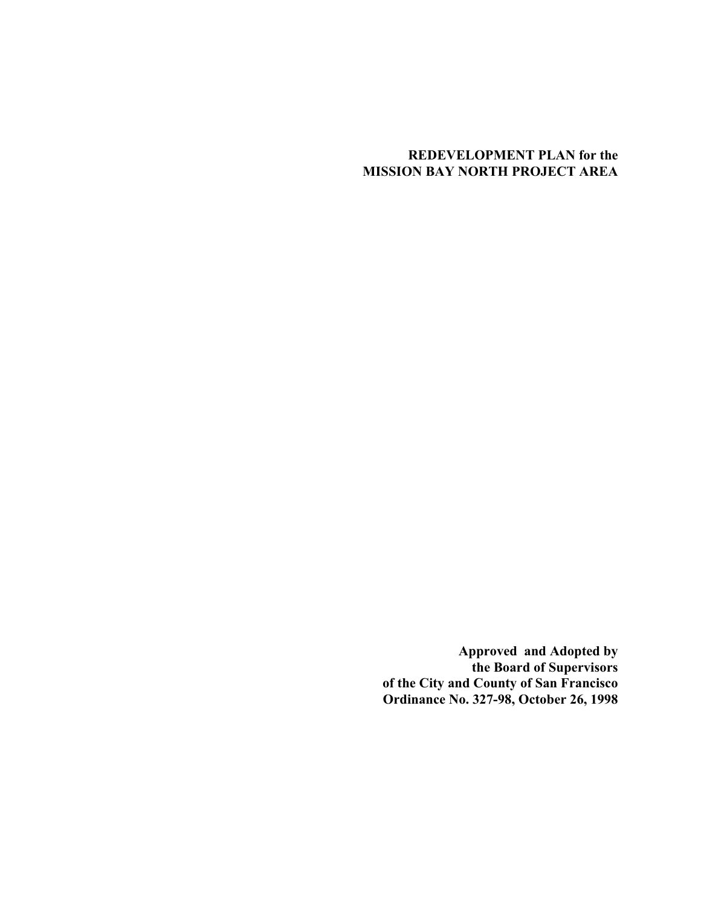# **REDEVELOPMENT PLAN for the MISSION BAY NORTH PROJECT AREA**

**Approved and Adopted by the Board of Supervisors of the City and County of San Francisco Ordinance No. 327-98, October 26, 1998**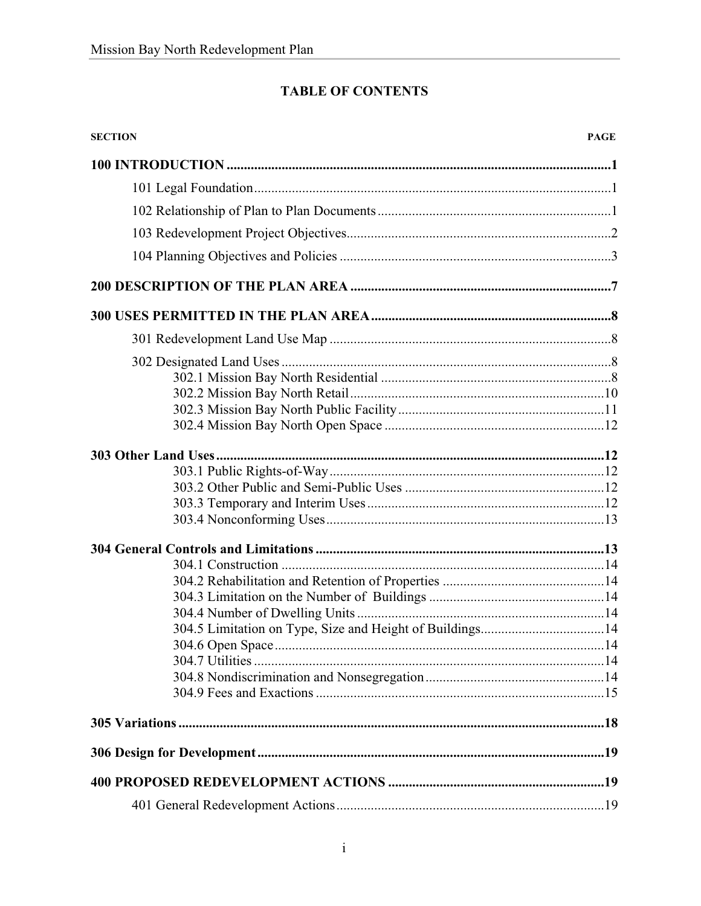# **TABLE OF CONTENTS**

| <b>SECTION</b>                                           | <b>PAGE</b> |
|----------------------------------------------------------|-------------|
|                                                          |             |
|                                                          |             |
|                                                          |             |
|                                                          |             |
|                                                          |             |
|                                                          |             |
|                                                          |             |
|                                                          |             |
|                                                          |             |
|                                                          |             |
|                                                          |             |
|                                                          |             |
|                                                          |             |
|                                                          |             |
|                                                          |             |
|                                                          |             |
|                                                          |             |
|                                                          |             |
|                                                          |             |
| 304.5 Limitation on Type, Size and Height of Buildings14 |             |
|                                                          |             |
|                                                          |             |
|                                                          |             |
|                                                          |             |
|                                                          |             |
|                                                          |             |
|                                                          |             |
|                                                          |             |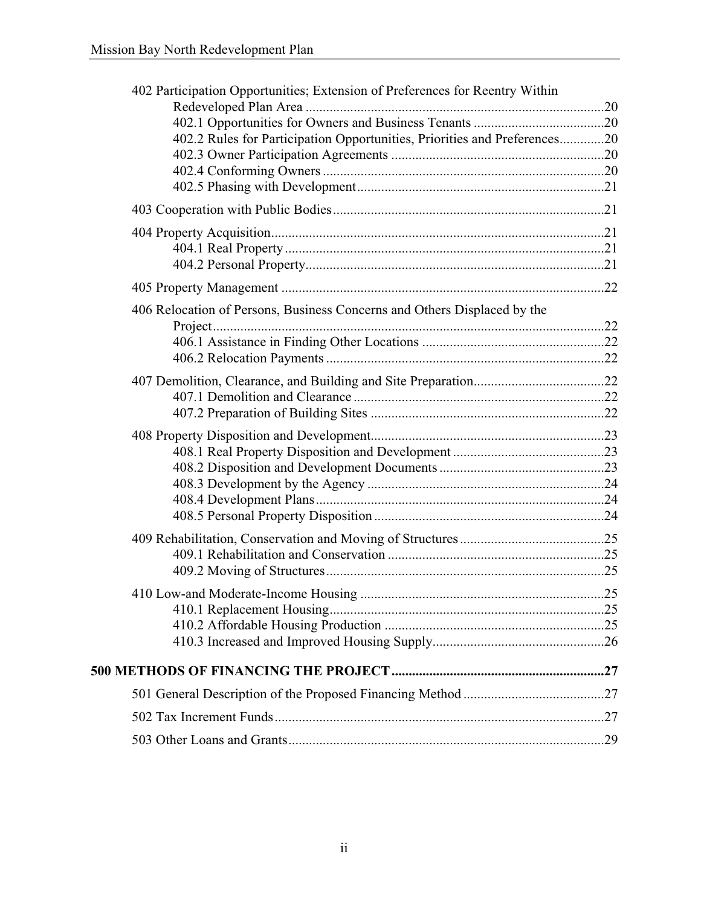| 402 Participation Opportunities; Extension of Preferences for Reentry Within |  |
|------------------------------------------------------------------------------|--|
|                                                                              |  |
|                                                                              |  |
| 402.2 Rules for Participation Opportunities, Priorities and Preferences20    |  |
|                                                                              |  |
|                                                                              |  |
|                                                                              |  |
|                                                                              |  |
|                                                                              |  |
|                                                                              |  |
|                                                                              |  |
|                                                                              |  |
| 406 Relocation of Persons, Business Concerns and Others Displaced by the     |  |
|                                                                              |  |
|                                                                              |  |
|                                                                              |  |
|                                                                              |  |
|                                                                              |  |
|                                                                              |  |
|                                                                              |  |
|                                                                              |  |
|                                                                              |  |
|                                                                              |  |
|                                                                              |  |
|                                                                              |  |
|                                                                              |  |
|                                                                              |  |
|                                                                              |  |
|                                                                              |  |
|                                                                              |  |
|                                                                              |  |
|                                                                              |  |
|                                                                              |  |
|                                                                              |  |
|                                                                              |  |
|                                                                              |  |
|                                                                              |  |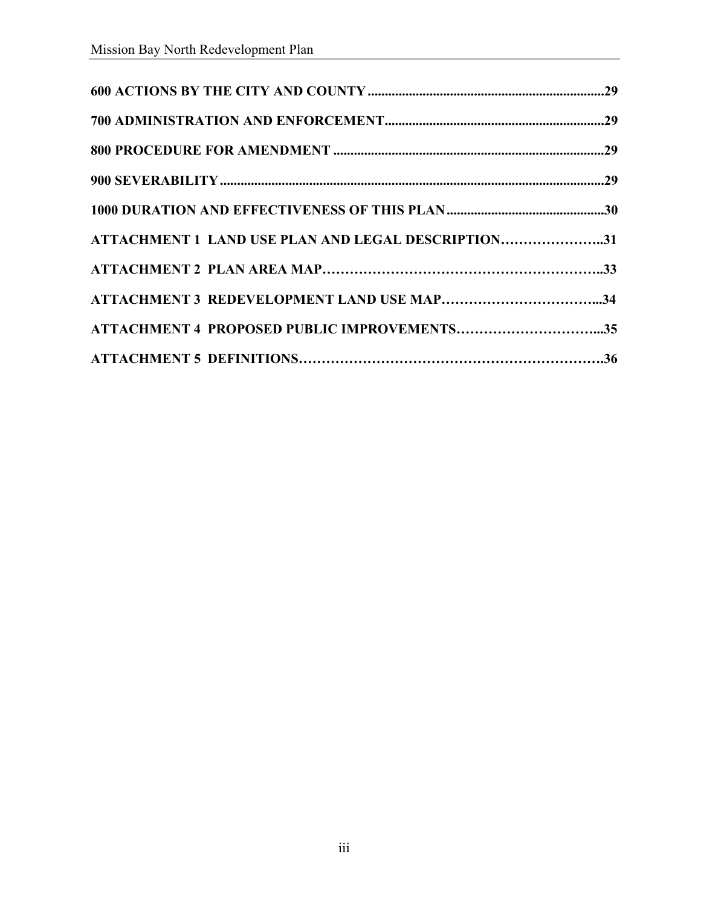| ATTACHMENT 1 LAND USE PLAN AND LEGAL DESCRIPTION31 |  |
|----------------------------------------------------|--|
|                                                    |  |
|                                                    |  |
|                                                    |  |
|                                                    |  |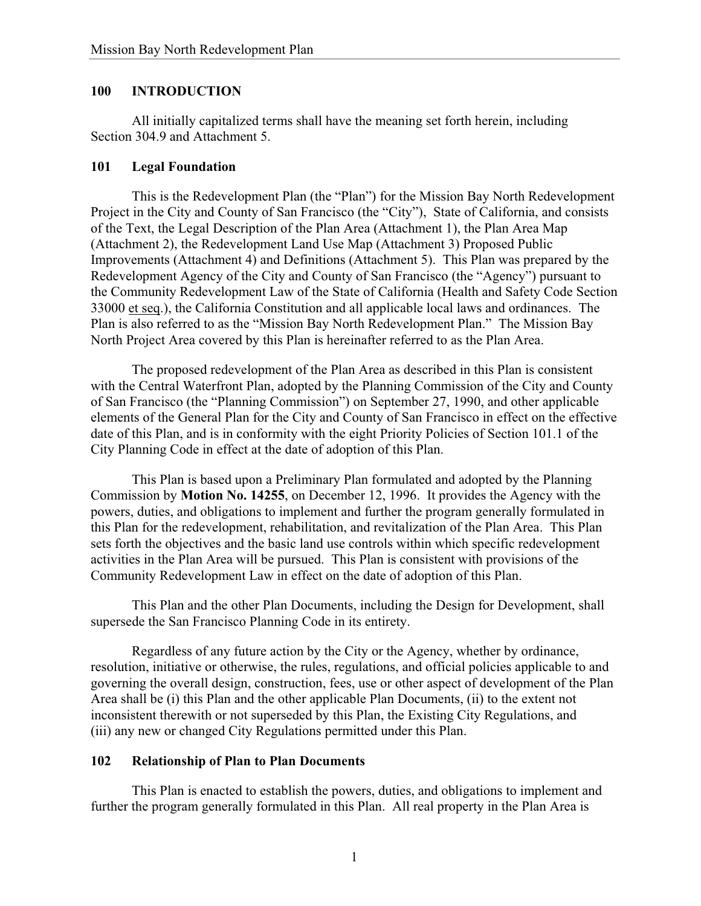### **100 INTRODUCTION**

All initially capitalized terms shall have the meaning set forth herein, including Section 304.9 and Attachment 5.

#### **101 Legal Foundation**

This is the Redevelopment Plan (the "Plan") for the Mission Bay North Redevelopment Project in the City and County of San Francisco (the "City"), State of California, and consists of the Text, the Legal Description of the Plan Area (Attachment 1), the Plan Area Map (Attachment 2), the Redevelopment Land Use Map (Attachment 3) Proposed Public Improvements (Attachment 4) and Definitions (Attachment 5). This Plan was prepared by the Redevelopment Agency of the City and County of San Francisco (the "Agency") pursuant to the Community Redevelopment Law of the State of California (Health and Safety Code Section 33000 et seq.), the California Constitution and all applicable local laws and ordinances. The Plan is also referred to as the "Mission Bay North Redevelopment Plan." The Mission Bay North Project Area covered by this Plan is hereinafter referred to as the Plan Area.

The proposed redevelopment of the Plan Area as described in this Plan is consistent with the Central Waterfront Plan, adopted by the Planning Commission of the City and County of San Francisco (the "Planning Commission") on September 27, 1990, and other applicable elements of the General Plan for the City and County of San Francisco in effect on the effective date of this Plan, and is in conformity with the eight Priority Policies of Section 101.1 of the City Planning Code in effect at the date of adoption of this Plan.

This Plan is based upon a Preliminary Plan formulated and adopted by the Planning Commission by **Motion No. 14255**, on December 12, 1996. It provides the Agency with the powers, duties, and obligations to implement and further the program generally formulated in this Plan for the redevelopment, rehabilitation, and revitalization of the Plan Area. This Plan sets forth the objectives and the basic land use controls within which specific redevelopment activities in the Plan Area will be pursued. This Plan is consistent with provisions of the Community Redevelopment Law in effect on the date of adoption of this Plan.

This Plan and the other Plan Documents, including the Design for Development, shall supersede the San Francisco Planning Code in its entirety.

Regardless of any future action by the City or the Agency, whether by ordinance, resolution, initiative or otherwise, the rules, regulations, and official policies applicable to and governing the overall design, construction, fees, use or other aspect of development of the Plan Area shall be (i) this Plan and the other applicable Plan Documents, (ii) to the extent not inconsistent therewith or not superseded by this Plan, the Existing City Regulations, and (iii) any new or changed City Regulations permitted under this Plan.

#### **102 Relationship of Plan to Plan Documents**

This Plan is enacted to establish the powers, duties, and obligations to implement and further the program generally formulated in this Plan. All real property in the Plan Area is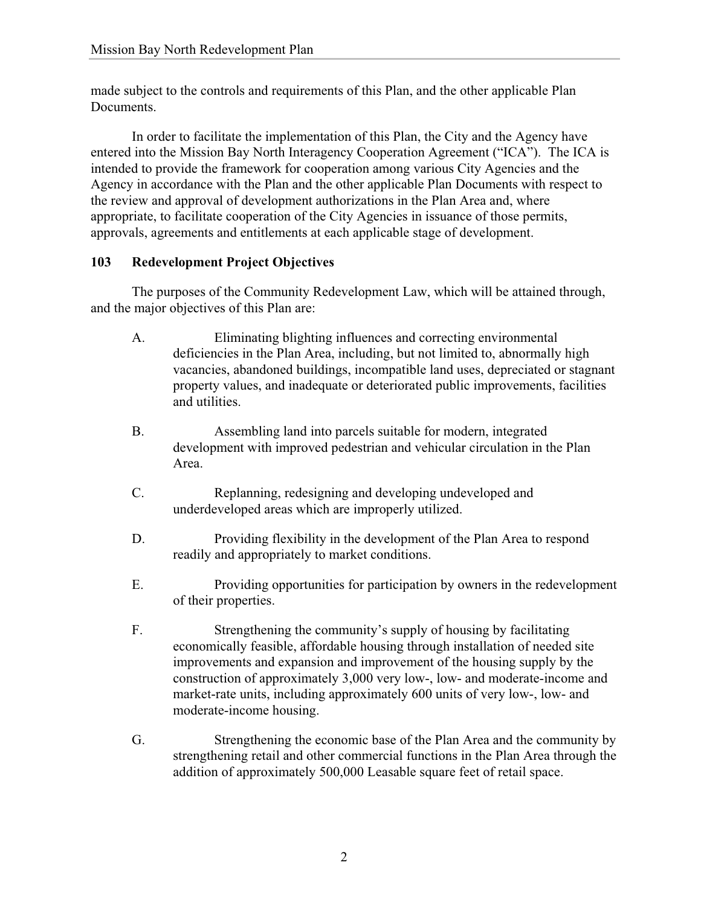made subject to the controls and requirements of this Plan, and the other applicable Plan Documents.

In order to facilitate the implementation of this Plan, the City and the Agency have entered into the Mission Bay North Interagency Cooperation Agreement ("ICA"). The ICA is intended to provide the framework for cooperation among various City Agencies and the Agency in accordance with the Plan and the other applicable Plan Documents with respect to the review and approval of development authorizations in the Plan Area and, where appropriate, to facilitate cooperation of the City Agencies in issuance of those permits, approvals, agreements and entitlements at each applicable stage of development.

# **103 Redevelopment Project Objectives**

The purposes of the Community Redevelopment Law, which will be attained through, and the major objectives of this Plan are:

- A. Eliminating blighting influences and correcting environmental deficiencies in the Plan Area, including, but not limited to, abnormally high vacancies, abandoned buildings, incompatible land uses, depreciated or stagnant property values, and inadequate or deteriorated public improvements, facilities and utilities.
- B. Assembling land into parcels suitable for modern, integrated development with improved pedestrian and vehicular circulation in the Plan Area.
- C. Replanning, redesigning and developing undeveloped and underdeveloped areas which are improperly utilized.
- D. Providing flexibility in the development of the Plan Area to respond readily and appropriately to market conditions.
- E. Providing opportunities for participation by owners in the redevelopment of their properties.
- F. Strengthening the community's supply of housing by facilitating economically feasible, affordable housing through installation of needed site improvements and expansion and improvement of the housing supply by the construction of approximately 3,000 very low-, low- and moderate-income and market-rate units, including approximately 600 units of very low-, low- and moderate-income housing.
- G. Strengthening the economic base of the Plan Area and the community by strengthening retail and other commercial functions in the Plan Area through the addition of approximately 500,000 Leasable square feet of retail space.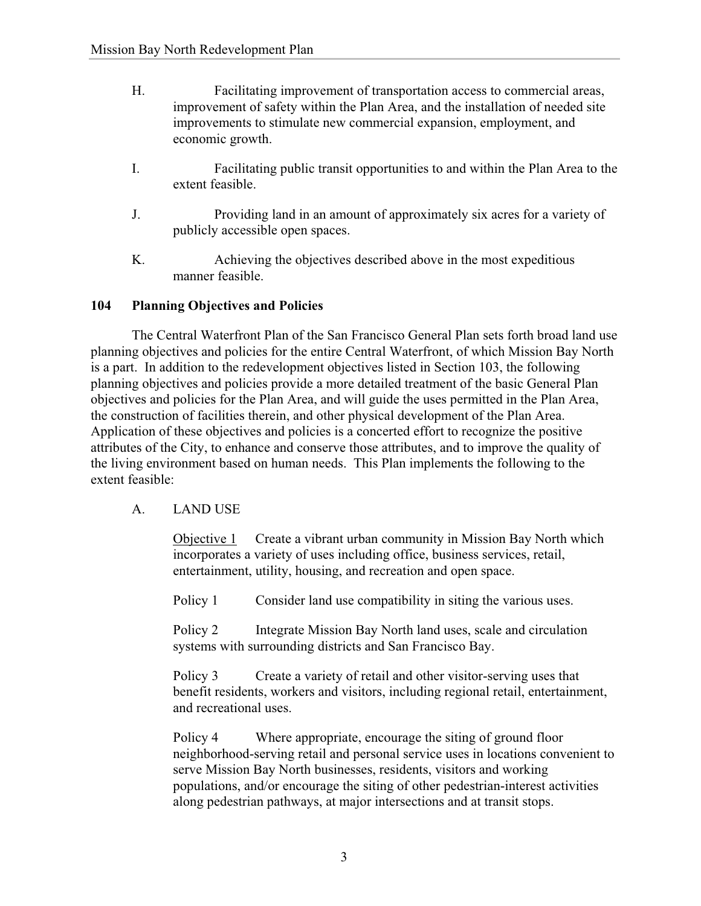- H. Facilitating improvement of transportation access to commercial areas, improvement of safety within the Plan Area, and the installation of needed site improvements to stimulate new commercial expansion, employment, and economic growth.
- I. Facilitating public transit opportunities to and within the Plan Area to the extent feasible.
- J. Providing land in an amount of approximately six acres for a variety of publicly accessible open spaces.
- K. Achieving the objectives described above in the most expeditious manner feasible.

# **104 Planning Objectives and Policies**

The Central Waterfront Plan of the San Francisco General Plan sets forth broad land use planning objectives and policies for the entire Central Waterfront, of which Mission Bay North is a part. In addition to the redevelopment objectives listed in Section 103, the following planning objectives and policies provide a more detailed treatment of the basic General Plan objectives and policies for the Plan Area, and will guide the uses permitted in the Plan Area, the construction of facilities therein, and other physical development of the Plan Area. Application of these objectives and policies is a concerted effort to recognize the positive attributes of the City, to enhance and conserve those attributes, and to improve the quality of the living environment based on human needs. This Plan implements the following to the extent feasible:

# A. LAND USE

Objective 1 Create a vibrant urban community in Mission Bay North which incorporates a variety of uses including office, business services, retail, entertainment, utility, housing, and recreation and open space.

Policy 1 Consider land use compatibility in siting the various uses.

Policy 2 Integrate Mission Bay North land uses, scale and circulation systems with surrounding districts and San Francisco Bay.

Policy 3 Create a variety of retail and other visitor-serving uses that benefit residents, workers and visitors, including regional retail, entertainment, and recreational uses.

Policy 4 Where appropriate, encourage the siting of ground floor neighborhood-serving retail and personal service uses in locations convenient to serve Mission Bay North businesses, residents, visitors and working populations, and/or encourage the siting of other pedestrian-interest activities along pedestrian pathways, at major intersections and at transit stops.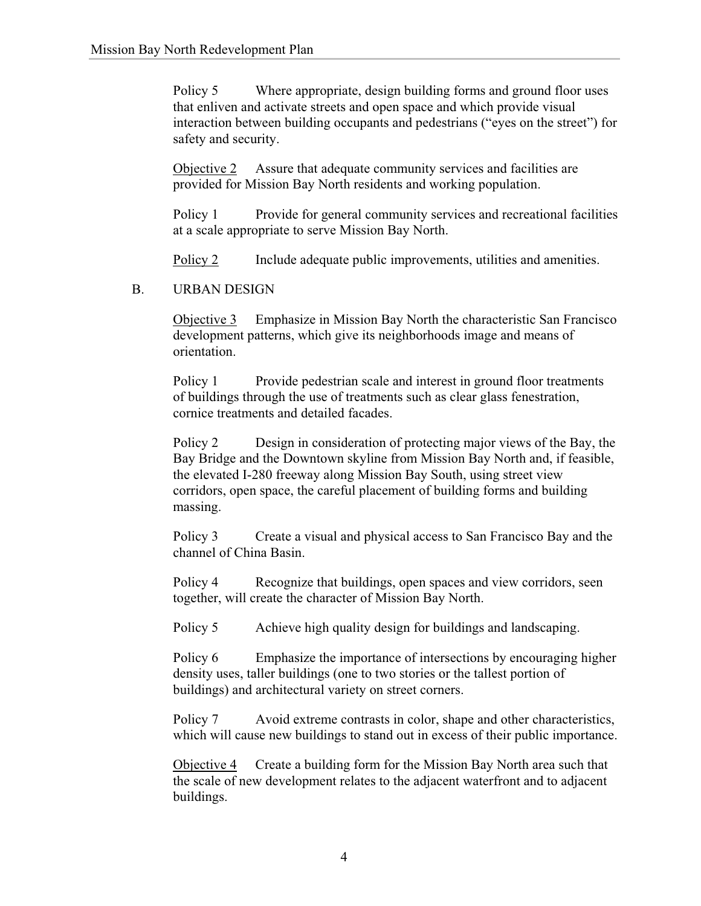Policy 5 Where appropriate, design building forms and ground floor uses that enliven and activate streets and open space and which provide visual interaction between building occupants and pedestrians ("eyes on the street") for safety and security.

Objective 2 Assure that adequate community services and facilities are provided for Mission Bay North residents and working population.

Policy 1 Provide for general community services and recreational facilities at a scale appropriate to serve Mission Bay North.

Policy 2 Include adequate public improvements, utilities and amenities.

### B. URBAN DESIGN

Objective 3 Emphasize in Mission Bay North the characteristic San Francisco development patterns, which give its neighborhoods image and means of orientation.

Policy 1 Provide pedestrian scale and interest in ground floor treatments of buildings through the use of treatments such as clear glass fenestration, cornice treatments and detailed facades.

Policy 2 Design in consideration of protecting major views of the Bay, the Bay Bridge and the Downtown skyline from Mission Bay North and, if feasible, the elevated I-280 freeway along Mission Bay South, using street view corridors, open space, the careful placement of building forms and building massing.

Policy 3 Create a visual and physical access to San Francisco Bay and the channel of China Basin.

Policy 4 Recognize that buildings, open spaces and view corridors, seen together, will create the character of Mission Bay North.

Policy 5 Achieve high quality design for buildings and landscaping.

Policy 6 Emphasize the importance of intersections by encouraging higher density uses, taller buildings (one to two stories or the tallest portion of buildings) and architectural variety on street corners.

Policy 7 Avoid extreme contrasts in color, shape and other characteristics, which will cause new buildings to stand out in excess of their public importance.

Objective 4 Create a building form for the Mission Bay North area such that the scale of new development relates to the adjacent waterfront and to adjacent buildings.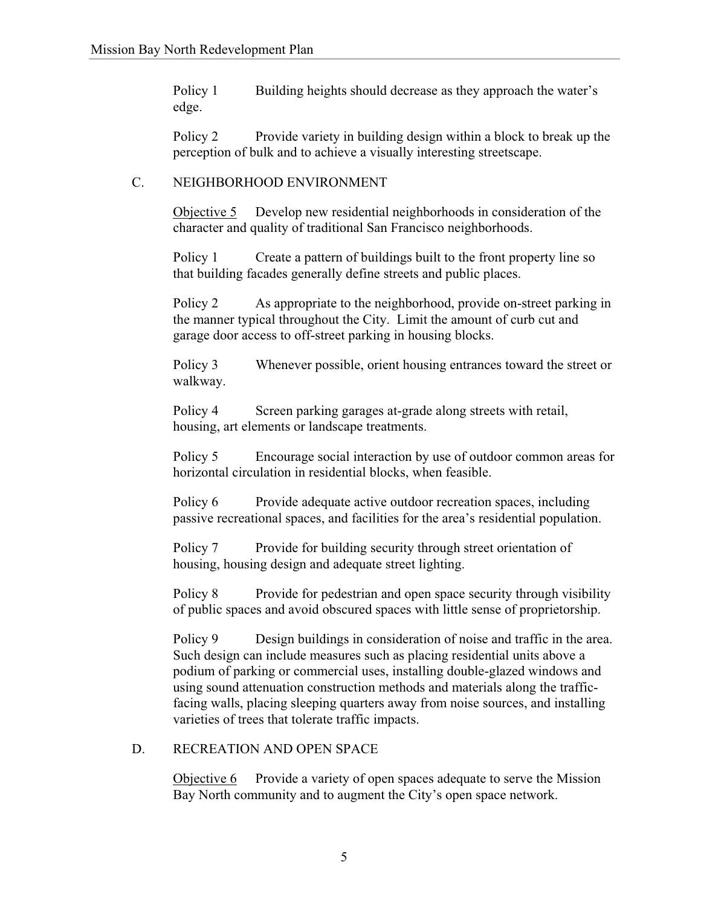Policy 1 Building heights should decrease as they approach the water's edge.

Policy 2 Provide variety in building design within a block to break up the perception of bulk and to achieve a visually interesting streetscape.

### C. NEIGHBORHOOD ENVIRONMENT

Objective 5 Develop new residential neighborhoods in consideration of the character and quality of traditional San Francisco neighborhoods.

Policy 1 Create a pattern of buildings built to the front property line so that building facades generally define streets and public places.

Policy 2 As appropriate to the neighborhood, provide on-street parking in the manner typical throughout the City. Limit the amount of curb cut and garage door access to off-street parking in housing blocks.

Policy 3 Whenever possible, orient housing entrances toward the street or walkway.

Policy 4 Screen parking garages at-grade along streets with retail, housing, art elements or landscape treatments.

Policy 5 Encourage social interaction by use of outdoor common areas for horizontal circulation in residential blocks, when feasible.

Policy 6 Provide adequate active outdoor recreation spaces, including passive recreational spaces, and facilities for the area's residential population.

Policy 7 Provide for building security through street orientation of housing, housing design and adequate street lighting.

Policy 8 Provide for pedestrian and open space security through visibility of public spaces and avoid obscured spaces with little sense of proprietorship.

Policy 9 Design buildings in consideration of noise and traffic in the area. Such design can include measures such as placing residential units above a podium of parking or commercial uses, installing double-glazed windows and using sound attenuation construction methods and materials along the trafficfacing walls, placing sleeping quarters away from noise sources, and installing varieties of trees that tolerate traffic impacts.

### D. RECREATION AND OPEN SPACE

Objective 6 Provide a variety of open spaces adequate to serve the Mission Bay North community and to augment the City's open space network.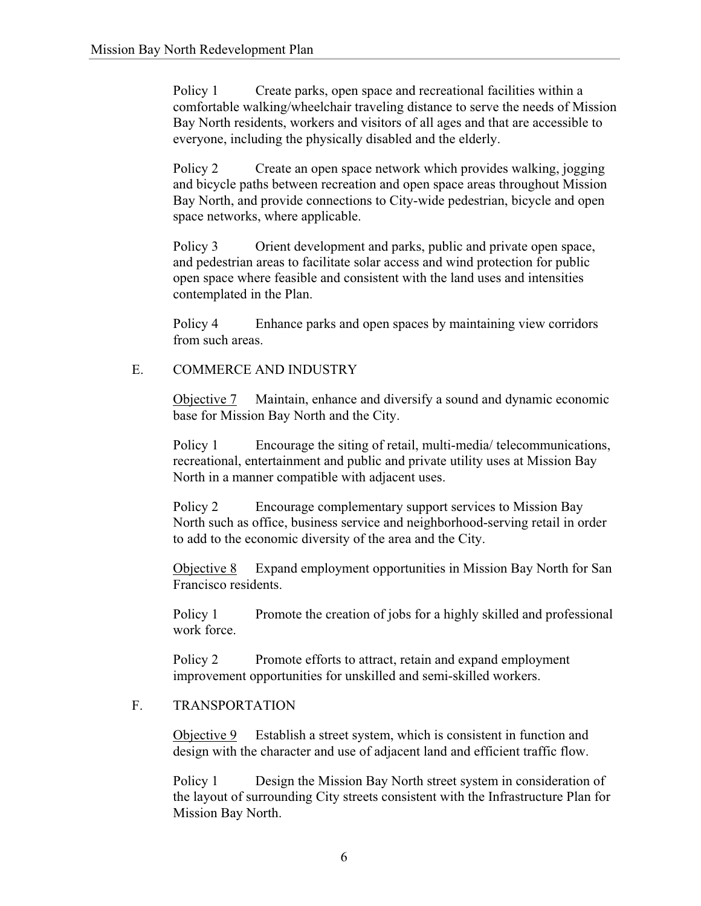Policy 1 Create parks, open space and recreational facilities within a comfortable walking/wheelchair traveling distance to serve the needs of Mission Bay North residents, workers and visitors of all ages and that are accessible to everyone, including the physically disabled and the elderly.

Policy 2 Create an open space network which provides walking, jogging and bicycle paths between recreation and open space areas throughout Mission Bay North, and provide connections to City-wide pedestrian, bicycle and open space networks, where applicable.

Policy 3 Orient development and parks, public and private open space, and pedestrian areas to facilitate solar access and wind protection for public open space where feasible and consistent with the land uses and intensities contemplated in the Plan.

Policy 4 Enhance parks and open spaces by maintaining view corridors from such areas.

# E. COMMERCE AND INDUSTRY

Objective 7 Maintain, enhance and diversify a sound and dynamic economic base for Mission Bay North and the City.

Policy 1 Encourage the siting of retail, multi-media/ telecommunications, recreational, entertainment and public and private utility uses at Mission Bay North in a manner compatible with adjacent uses.

Policy 2 Encourage complementary support services to Mission Bay North such as office, business service and neighborhood-serving retail in order to add to the economic diversity of the area and the City.

Objective 8 Expand employment opportunities in Mission Bay North for San Francisco residents.

Policy 1 Promote the creation of jobs for a highly skilled and professional work force.

Policy 2 Promote efforts to attract, retain and expand employment improvement opportunities for unskilled and semi-skilled workers.

### F. TRANSPORTATION

Objective 9 Establish a street system, which is consistent in function and design with the character and use of adjacent land and efficient traffic flow.

Policy 1 Design the Mission Bay North street system in consideration of the layout of surrounding City streets consistent with the Infrastructure Plan for Mission Bay North.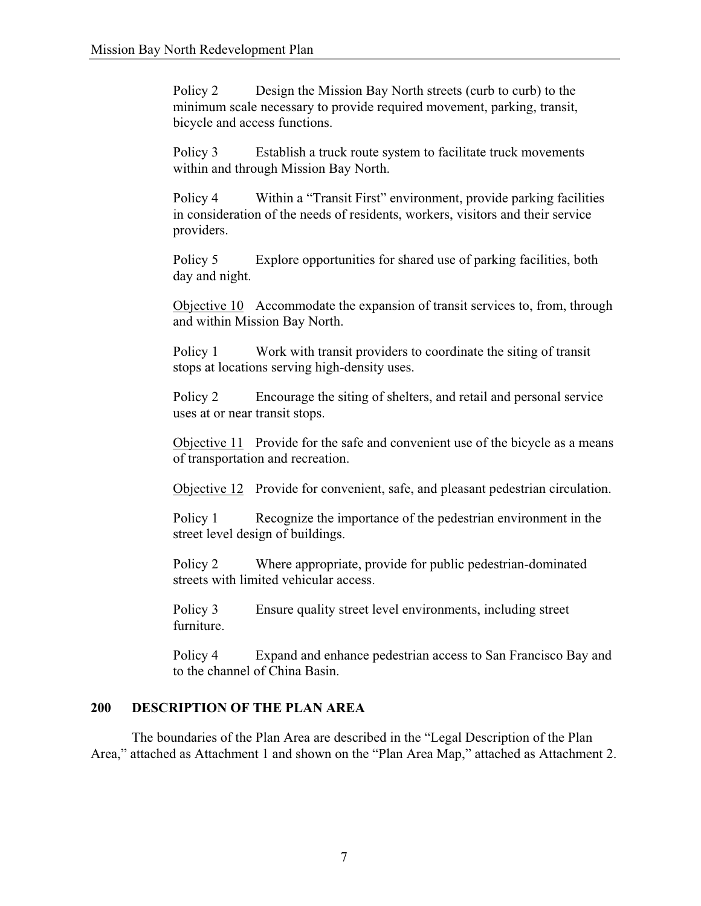Policy 2 Design the Mission Bay North streets (curb to curb) to the minimum scale necessary to provide required movement, parking, transit, bicycle and access functions.

Policy 3 Establish a truck route system to facilitate truck movements within and through Mission Bay North.

Policy 4 Within a "Transit First" environment, provide parking facilities in consideration of the needs of residents, workers, visitors and their service providers.

Policy 5 Explore opportunities for shared use of parking facilities, both day and night.

Objective 10 Accommodate the expansion of transit services to, from, through and within Mission Bay North.

Policy 1 Work with transit providers to coordinate the siting of transit stops at locations serving high-density uses.

Policy 2 Encourage the siting of shelters, and retail and personal service uses at or near transit stops.

Objective 11 Provide for the safe and convenient use of the bicycle as a means of transportation and recreation.

Objective 12 Provide for convenient, safe, and pleasant pedestrian circulation.

Policy 1 Recognize the importance of the pedestrian environment in the street level design of buildings.

Policy 2 Where appropriate, provide for public pedestrian-dominated streets with limited vehicular access.

Policy 3 Ensure quality street level environments, including street furniture.

Policy 4 Expand and enhance pedestrian access to San Francisco Bay and to the channel of China Basin.

# **200 DESCRIPTION OF THE PLAN AREA**

The boundaries of the Plan Area are described in the "Legal Description of the Plan Area," attached as Attachment 1 and shown on the "Plan Area Map," attached as Attachment 2.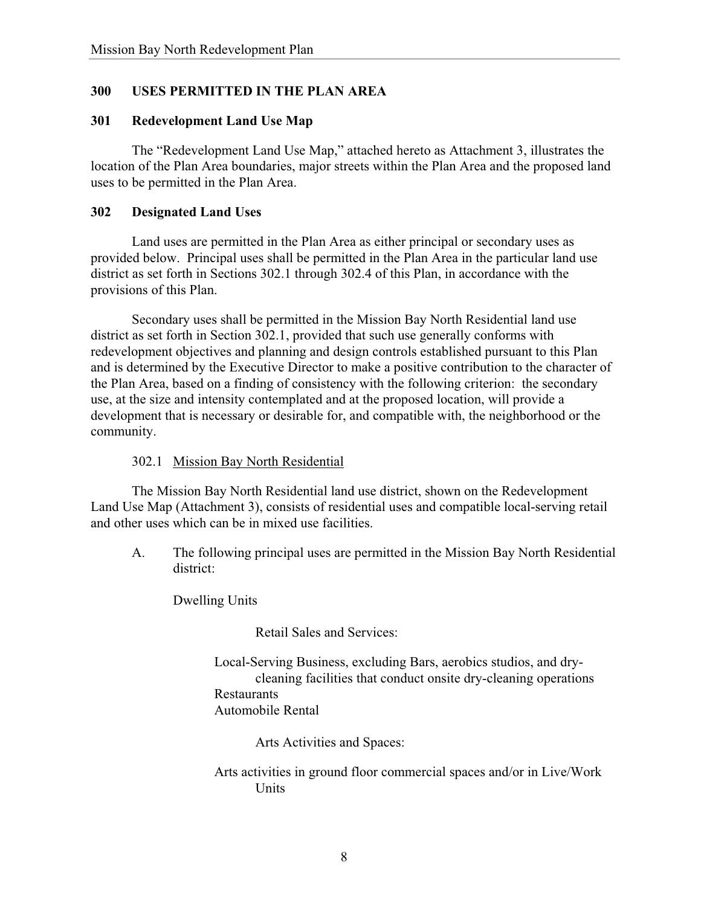# **300 USES PERMITTED IN THE PLAN AREA**

#### **301 Redevelopment Land Use Map**

The "Redevelopment Land Use Map," attached hereto as Attachment 3, illustrates the location of the Plan Area boundaries, major streets within the Plan Area and the proposed land uses to be permitted in the Plan Area.

#### **302 Designated Land Uses**

Land uses are permitted in the Plan Area as either principal or secondary uses as provided below. Principal uses shall be permitted in the Plan Area in the particular land use district as set forth in Sections 302.1 through 302.4 of this Plan, in accordance with the provisions of this Plan.

Secondary uses shall be permitted in the Mission Bay North Residential land use district as set forth in Section 302.1, provided that such use generally conforms with redevelopment objectives and planning and design controls established pursuant to this Plan and is determined by the Executive Director to make a positive contribution to the character of the Plan Area, based on a finding of consistency with the following criterion: the secondary use, at the size and intensity contemplated and at the proposed location, will provide a development that is necessary or desirable for, and compatible with, the neighborhood or the community.

### 302.1 Mission Bay North Residential

The Mission Bay North Residential land use district, shown on the Redevelopment Land Use Map (Attachment 3), consists of residential uses and compatible local-serving retail and other uses which can be in mixed use facilities.

A. The following principal uses are permitted in the Mission Bay North Residential district:

Dwelling Units

Retail Sales and Services:

Local-Serving Business, excluding Bars, aerobics studios, and drycleaning facilities that conduct onsite dry-cleaning operations Restaurants Automobile Rental

Arts Activities and Spaces:

Arts activities in ground floor commercial spaces and/or in Live/Work Units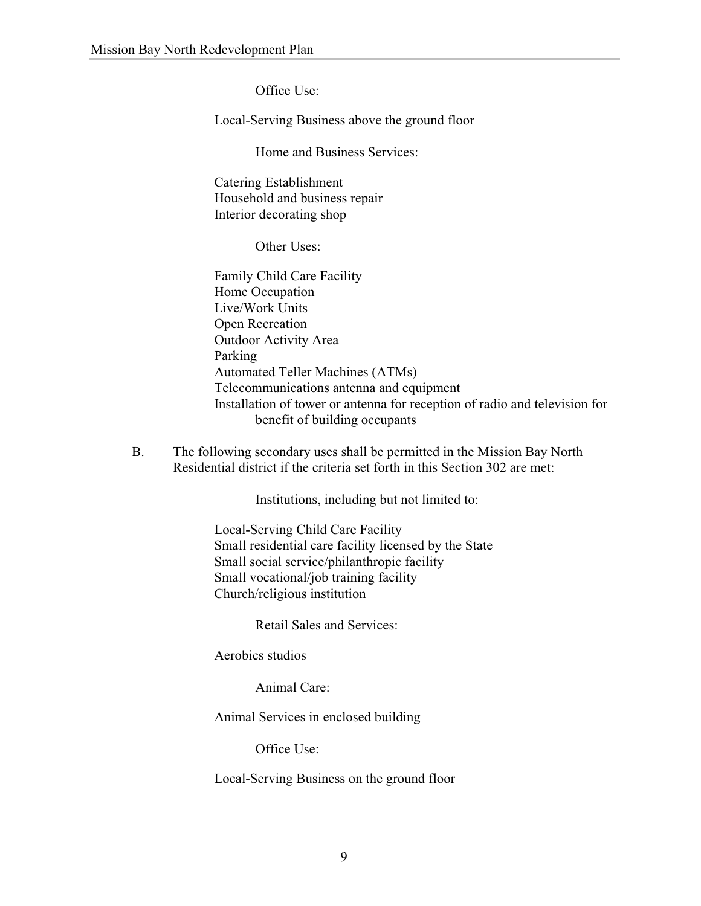Office Use:

Local-Serving Business above the ground floor

Home and Business Services:

 Catering Establishment Household and business repair Interior decorating shop

Other Uses:

 Family Child Care Facility Home Occupation Live/Work Units Open Recreation Outdoor Activity Area Parking Automated Teller Machines (ATMs) Telecommunications antenna and equipment Installation of tower or antenna for reception of radio and television for benefit of building occupants

B. The following secondary uses shall be permitted in the Mission Bay North Residential district if the criteria set forth in this Section 302 are met:

Institutions, including but not limited to:

Local-Serving Child Care Facility Small residential care facility licensed by the State Small social service/philanthropic facility Small vocational/job training facility Church/religious institution

Retail Sales and Services:

Aerobics studios

Animal Care:

Animal Services in enclosed building

Office Use:

Local-Serving Business on the ground floor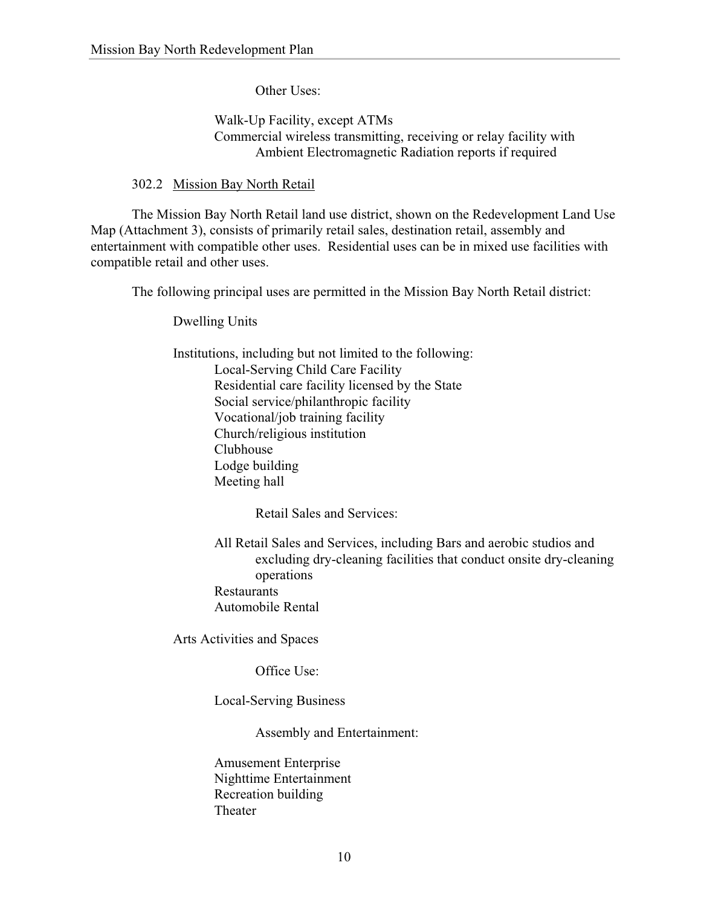Other Uses:

# Walk-Up Facility, except ATMs Commercial wireless transmitting, receiving or relay facility with Ambient Electromagnetic Radiation reports if required

302.2 Mission Bay North Retail

The Mission Bay North Retail land use district, shown on the Redevelopment Land Use Map (Attachment 3), consists of primarily retail sales, destination retail, assembly and entertainment with compatible other uses. Residential uses can be in mixed use facilities with compatible retail and other uses.

The following principal uses are permitted in the Mission Bay North Retail district:

Dwelling Units

 Institutions, including but not limited to the following: Local-Serving Child Care Facility Residential care facility licensed by the State Social service/philanthropic facility Vocational/job training facility Church/religious institution Clubhouse Lodge building Meeting hall

Retail Sales and Services:

All Retail Sales and Services, including Bars and aerobic studios and excluding dry-cleaning facilities that conduct onsite dry-cleaning operations Restaurants Automobile Rental

Arts Activities and Spaces

Office Use:

Local-Serving Business

Assembly and Entertainment:

 Amusement Enterprise Nighttime Entertainment Recreation building Theater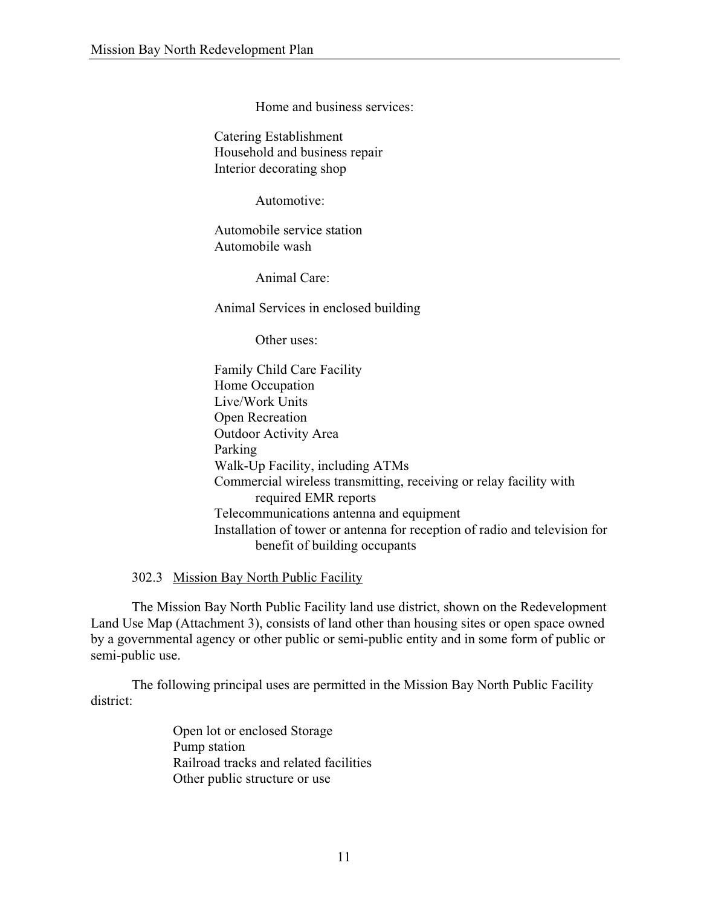Home and business services:

 Catering Establishment Household and business repair Interior decorating shop

Automotive:

 Automobile service station Automobile wash

Animal Care:

Animal Services in enclosed building

Other uses:

 Family Child Care Facility Home Occupation Live/Work Units Open Recreation Outdoor Activity Area Parking Walk-Up Facility, including ATMs Commercial wireless transmitting, receiving or relay facility with required EMR reports Telecommunications antenna and equipment Installation of tower or antenna for reception of radio and television for benefit of building occupants

302.3 Mission Bay North Public Facility

The Mission Bay North Public Facility land use district, shown on the Redevelopment Land Use Map (Attachment 3), consists of land other than housing sites or open space owned by a governmental agency or other public or semi-public entity and in some form of public or semi-public use.

The following principal uses are permitted in the Mission Bay North Public Facility district:

> Open lot or enclosed Storage Pump station Railroad tracks and related facilities Other public structure or use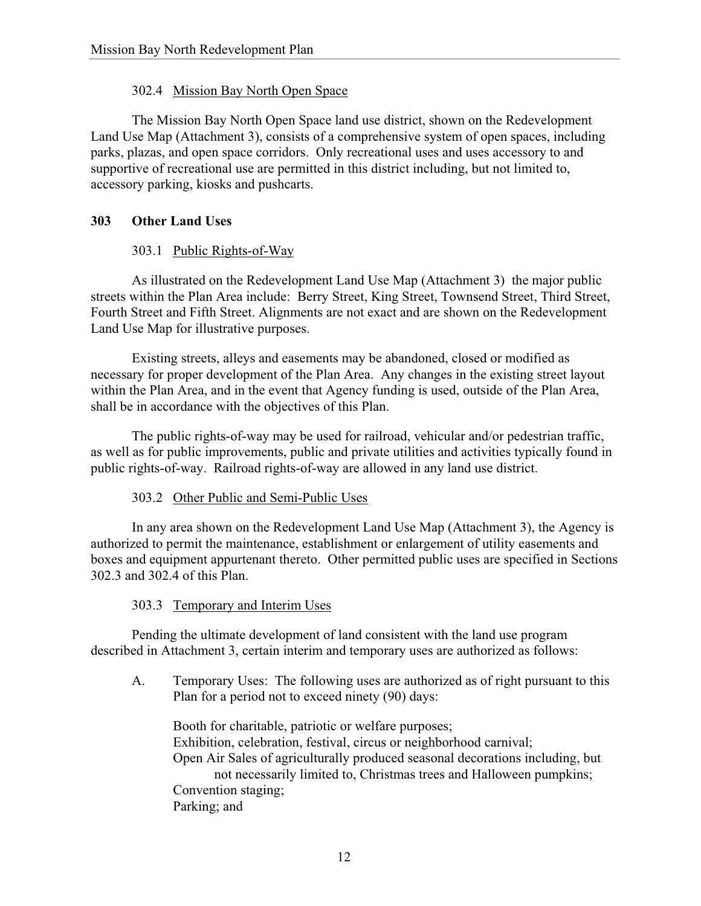# 302.4 Mission Bay North Open Space

The Mission Bay North Open Space land use district, shown on the Redevelopment Land Use Map (Attachment 3), consists of a comprehensive system of open spaces, including parks, plazas, and open space corridors. Only recreational uses and uses accessory to and supportive of recreational use are permitted in this district including, but not limited to, accessory parking, kiosks and pushcarts.

# **303 Other Land Uses**

### 303.1 Public Rights-of-Way

As illustrated on the Redevelopment Land Use Map (Attachment 3) the major public streets within the Plan Area include: Berry Street, King Street, Townsend Street, Third Street, Fourth Street and Fifth Street. Alignments are not exact and are shown on the Redevelopment Land Use Map for illustrative purposes.

Existing streets, alleys and easements may be abandoned, closed or modified as necessary for proper development of the Plan Area. Any changes in the existing street layout within the Plan Area, and in the event that Agency funding is used, outside of the Plan Area, shall be in accordance with the objectives of this Plan.

The public rights-of-way may be used for railroad, vehicular and/or pedestrian traffic, as well as for public improvements, public and private utilities and activities typically found in public rights-of-way. Railroad rights-of-way are allowed in any land use district.

### 303.2 Other Public and Semi-Public Uses

In any area shown on the Redevelopment Land Use Map (Attachment 3), the Agency is authorized to permit the maintenance, establishment or enlargement of utility easements and boxes and equipment appurtenant thereto. Other permitted public uses are specified in Sections 302.3 and 302.4 of this Plan.

### 303.3 Temporary and Interim Uses

Pending the ultimate development of land consistent with the land use program described in Attachment 3, certain interim and temporary uses are authorized as follows:

A. Temporary Uses: The following uses are authorized as of right pursuant to this Plan for a period not to exceed ninety (90) days:

 Booth for charitable, patriotic or welfare purposes; Exhibition, celebration, festival, circus or neighborhood carnival; Open Air Sales of agriculturally produced seasonal decorations including, but not necessarily limited to, Christmas trees and Halloween pumpkins; Convention staging; Parking; and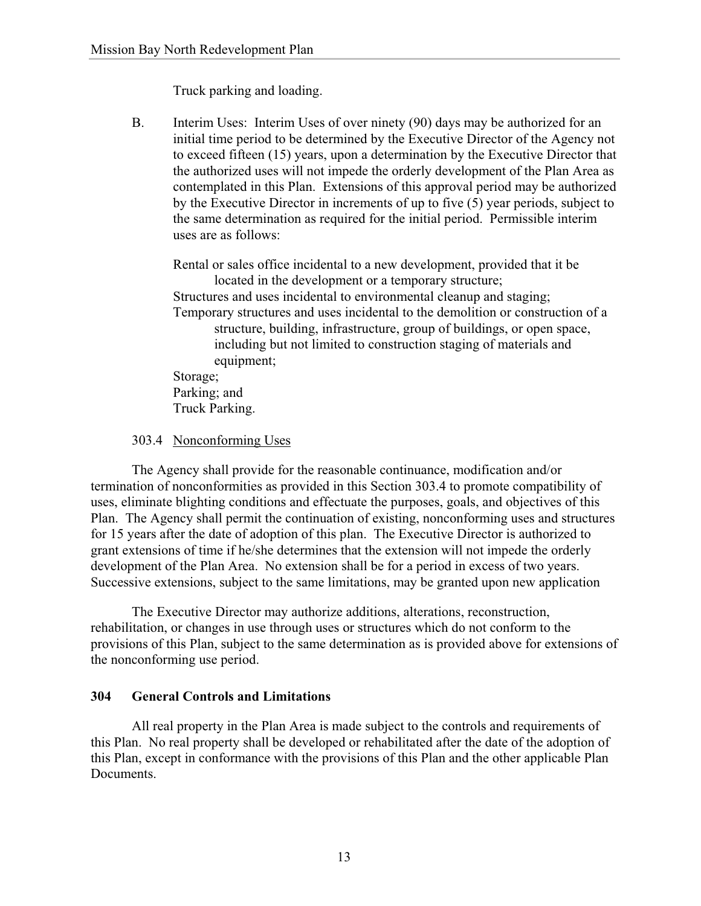Truck parking and loading.

B. Interim Uses: Interim Uses of over ninety (90) days may be authorized for an initial time period to be determined by the Executive Director of the Agency not to exceed fifteen (15) years, upon a determination by the Executive Director that the authorized uses will not impede the orderly development of the Plan Area as contemplated in this Plan. Extensions of this approval period may be authorized by the Executive Director in increments of up to five (5) year periods, subject to the same determination as required for the initial period. Permissible interim uses are as follows:

Rental or sales office incidental to a new development, provided that it be located in the development or a temporary structure; Structures and uses incidental to environmental cleanup and staging; Temporary structures and uses incidental to the demolition or construction of a structure, building, infrastructure, group of buildings, or open space, including but not limited to construction staging of materials and equipment; Storage; Parking; and

Truck Parking.

# 303.4 Nonconforming Uses

The Agency shall provide for the reasonable continuance, modification and/or termination of nonconformities as provided in this Section 303.4 to promote compatibility of uses, eliminate blighting conditions and effectuate the purposes, goals, and objectives of this Plan. The Agency shall permit the continuation of existing, nonconforming uses and structures for 15 years after the date of adoption of this plan. The Executive Director is authorized to grant extensions of time if he/she determines that the extension will not impede the orderly development of the Plan Area. No extension shall be for a period in excess of two years. Successive extensions, subject to the same limitations, may be granted upon new application

The Executive Director may authorize additions, alterations, reconstruction, rehabilitation, or changes in use through uses or structures which do not conform to the provisions of this Plan, subject to the same determination as is provided above for extensions of the nonconforming use period.

# **304 General Controls and Limitations**

All real property in the Plan Area is made subject to the controls and requirements of this Plan. No real property shall be developed or rehabilitated after the date of the adoption of this Plan, except in conformance with the provisions of this Plan and the other applicable Plan **Documents**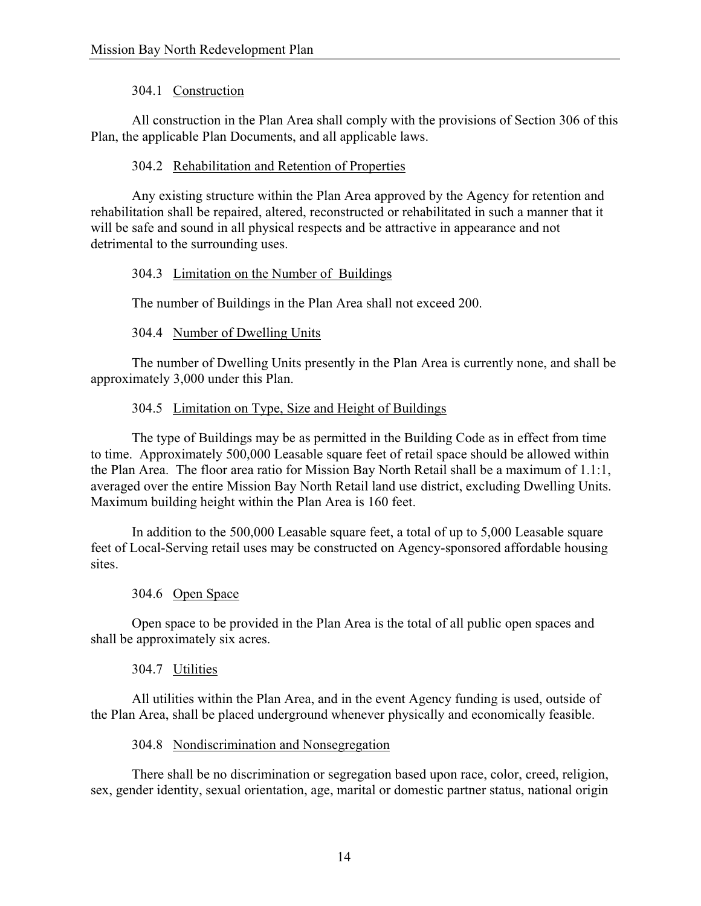# 304.1 Construction

All construction in the Plan Area shall comply with the provisions of Section 306 of this Plan, the applicable Plan Documents, and all applicable laws.

# 304.2 Rehabilitation and Retention of Properties

Any existing structure within the Plan Area approved by the Agency for retention and rehabilitation shall be repaired, altered, reconstructed or rehabilitated in such a manner that it will be safe and sound in all physical respects and be attractive in appearance and not detrimental to the surrounding uses.

# 304.3 Limitation on the Number of Buildings

The number of Buildings in the Plan Area shall not exceed 200.

### 304.4 Number of Dwelling Units

The number of Dwelling Units presently in the Plan Area is currently none, and shall be approximately 3,000 under this Plan.

### 304.5 Limitation on Type, Size and Height of Buildings

The type of Buildings may be as permitted in the Building Code as in effect from time to time. Approximately 500,000 Leasable square feet of retail space should be allowed within the Plan Area. The floor area ratio for Mission Bay North Retail shall be a maximum of 1.1:1, averaged over the entire Mission Bay North Retail land use district, excluding Dwelling Units. Maximum building height within the Plan Area is 160 feet.

In addition to the 500,000 Leasable square feet, a total of up to 5,000 Leasable square feet of Local-Serving retail uses may be constructed on Agency-sponsored affordable housing sites.

# 304.6 Open Space

Open space to be provided in the Plan Area is the total of all public open spaces and shall be approximately six acres.

# 304.7 Utilities

All utilities within the Plan Area, and in the event Agency funding is used, outside of the Plan Area, shall be placed underground whenever physically and economically feasible.

### 304.8 Nondiscrimination and Nonsegregation

There shall be no discrimination or segregation based upon race, color, creed, religion, sex, gender identity, sexual orientation, age, marital or domestic partner status, national origin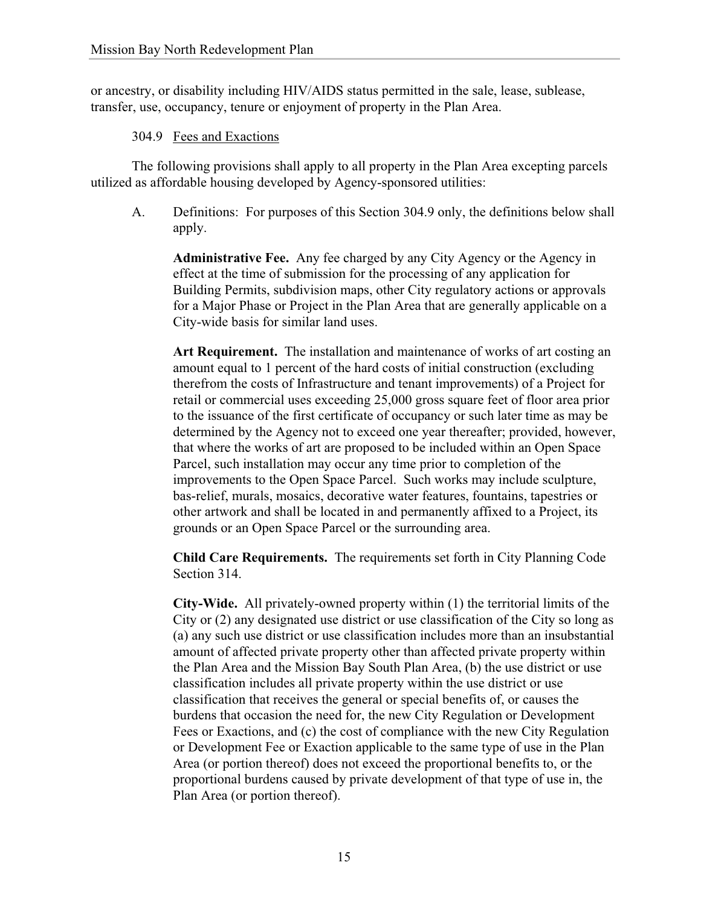or ancestry, or disability including HIV/AIDS status permitted in the sale, lease, sublease, transfer, use, occupancy, tenure or enjoyment of property in the Plan Area.

### 304.9 Fees and Exactions

The following provisions shall apply to all property in the Plan Area excepting parcels utilized as affordable housing developed by Agency-sponsored utilities:

A. Definitions: For purposes of this Section 304.9 only, the definitions below shall apply.

**Administrative Fee.** Any fee charged by any City Agency or the Agency in effect at the time of submission for the processing of any application for Building Permits, subdivision maps, other City regulatory actions or approvals for a Major Phase or Project in the Plan Area that are generally applicable on a City-wide basis for similar land uses.

**Art Requirement.** The installation and maintenance of works of art costing an amount equal to 1 percent of the hard costs of initial construction (excluding therefrom the costs of Infrastructure and tenant improvements) of a Project for retail or commercial uses exceeding 25,000 gross square feet of floor area prior to the issuance of the first certificate of occupancy or such later time as may be determined by the Agency not to exceed one year thereafter; provided, however, that where the works of art are proposed to be included within an Open Space Parcel, such installation may occur any time prior to completion of the improvements to the Open Space Parcel. Such works may include sculpture, bas-relief, murals, mosaics, decorative water features, fountains, tapestries or other artwork and shall be located in and permanently affixed to a Project, its grounds or an Open Space Parcel or the surrounding area.

**Child Care Requirements.** The requirements set forth in City Planning Code Section 314.

**City-Wide.** All privately-owned property within (1) the territorial limits of the City or (2) any designated use district or use classification of the City so long as (a) any such use district or use classification includes more than an insubstantial amount of affected private property other than affected private property within the Plan Area and the Mission Bay South Plan Area, (b) the use district or use classification includes all private property within the use district or use classification that receives the general or special benefits of, or causes the burdens that occasion the need for, the new City Regulation or Development Fees or Exactions, and (c) the cost of compliance with the new City Regulation or Development Fee or Exaction applicable to the same type of use in the Plan Area (or portion thereof) does not exceed the proportional benefits to, or the proportional burdens caused by private development of that type of use in, the Plan Area (or portion thereof).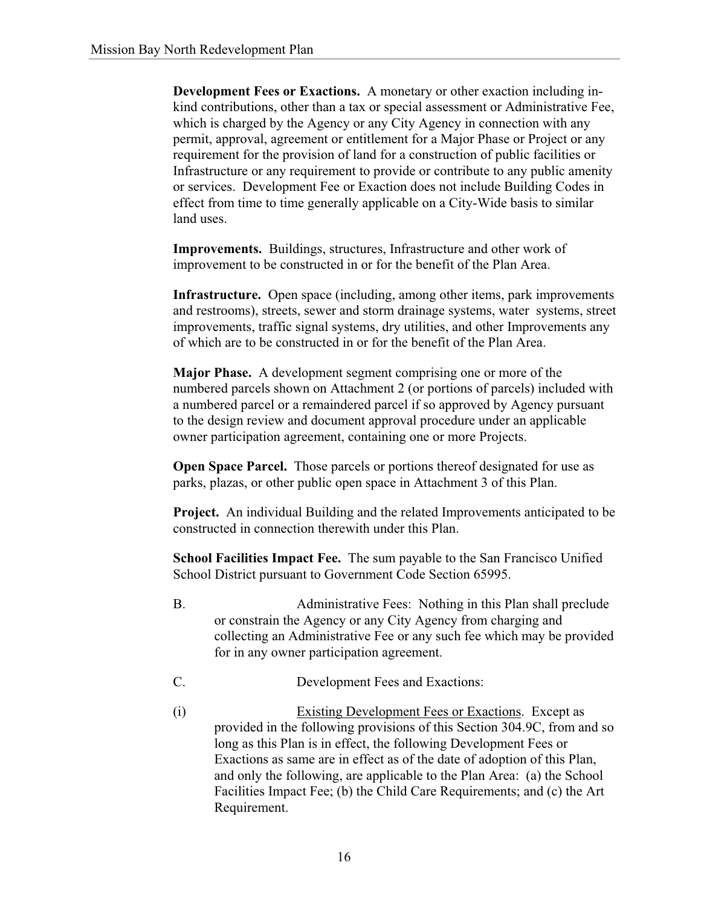**Development Fees or Exactions.** A monetary or other exaction including inkind contributions, other than a tax or special assessment or Administrative Fee, which is charged by the Agency or any City Agency in connection with any permit, approval, agreement or entitlement for a Major Phase or Project or any requirement for the provision of land for a construction of public facilities or Infrastructure or any requirement to provide or contribute to any public amenity or services. Development Fee or Exaction does not include Building Codes in effect from time to time generally applicable on a City-Wide basis to similar land uses.

**Improvements.** Buildings, structures, Infrastructure and other work of improvement to be constructed in or for the benefit of the Plan Area.

**Infrastructure.** Open space (including, among other items, park improvements and restrooms), streets, sewer and storm drainage systems, water systems, street improvements, traffic signal systems, dry utilities, and other Improvements any of which are to be constructed in or for the benefit of the Plan Area.

**Major Phase.** A development segment comprising one or more of the numbered parcels shown on Attachment 2 (or portions of parcels) included with a numbered parcel or a remaindered parcel if so approved by Agency pursuant to the design review and document approval procedure under an applicable owner participation agreement, containing one or more Projects.

**Open Space Parcel.** Those parcels or portions thereof designated for use as parks, plazas, or other public open space in Attachment 3 of this Plan.

**Project.** An individual Building and the related Improvements anticipated to be constructed in connection therewith under this Plan.

**School Facilities Impact Fee.** The sum payable to the San Francisco Unified School District pursuant to Government Code Section 65995.

- B. Administrative Fees: Nothing in this Plan shall preclude or constrain the Agency or any City Agency from charging and collecting an Administrative Fee or any such fee which may be provided for in any owner participation agreement.
- C. Development Fees and Exactions:
- (i) Existing Development Fees or Exactions. Except as provided in the following provisions of this Section 304.9C, from and so long as this Plan is in effect, the following Development Fees or Exactions as same are in effect as of the date of adoption of this Plan, and only the following, are applicable to the Plan Area: (a) the School Facilities Impact Fee; (b) the Child Care Requirements; and (c) the Art Requirement.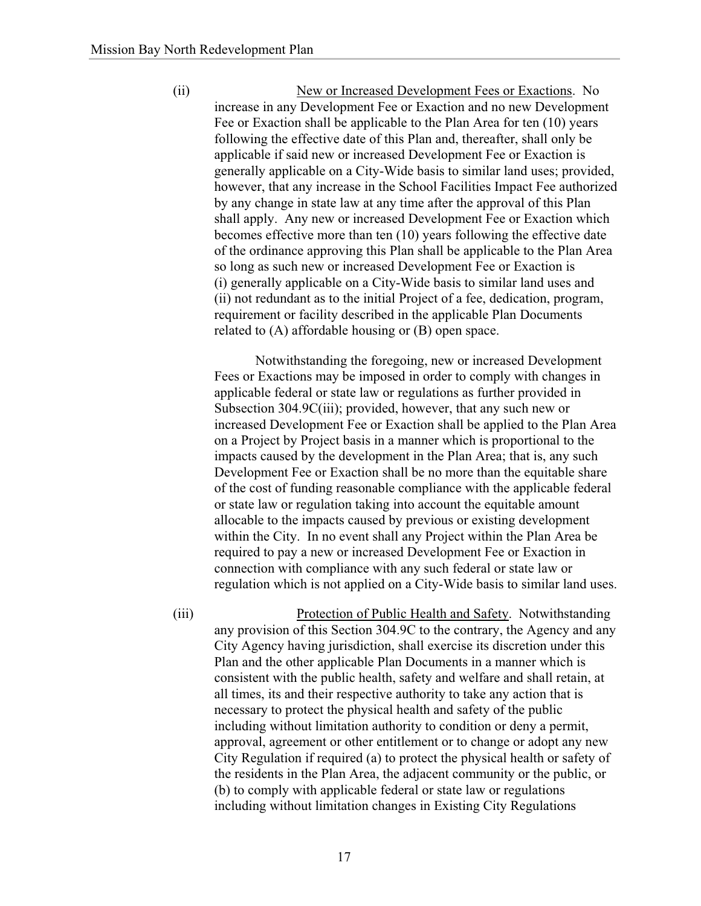(ii) New or Increased Development Fees or Exactions. No increase in any Development Fee or Exaction and no new Development Fee or Exaction shall be applicable to the Plan Area for ten (10) years following the effective date of this Plan and, thereafter, shall only be applicable if said new or increased Development Fee or Exaction is generally applicable on a City-Wide basis to similar land uses; provided, however, that any increase in the School Facilities Impact Fee authorized by any change in state law at any time after the approval of this Plan shall apply. Any new or increased Development Fee or Exaction which becomes effective more than ten (10) years following the effective date of the ordinance approving this Plan shall be applicable to the Plan Area so long as such new or increased Development Fee or Exaction is (i) generally applicable on a City-Wide basis to similar land uses and (ii) not redundant as to the initial Project of a fee, dedication, program, requirement or facility described in the applicable Plan Documents related to (A) affordable housing or (B) open space.

 Notwithstanding the foregoing, new or increased Development Fees or Exactions may be imposed in order to comply with changes in applicable federal or state law or regulations as further provided in Subsection 304.9C(iii); provided, however, that any such new or increased Development Fee or Exaction shall be applied to the Plan Area on a Project by Project basis in a manner which is proportional to the impacts caused by the development in the Plan Area; that is, any such Development Fee or Exaction shall be no more than the equitable share of the cost of funding reasonable compliance with the applicable federal or state law or regulation taking into account the equitable amount allocable to the impacts caused by previous or existing development within the City. In no event shall any Project within the Plan Area be required to pay a new or increased Development Fee or Exaction in connection with compliance with any such federal or state law or regulation which is not applied on a City-Wide basis to similar land uses.

(iii) Protection of Public Health and Safety. Notwithstanding any provision of this Section 304.9C to the contrary, the Agency and any City Agency having jurisdiction, shall exercise its discretion under this Plan and the other applicable Plan Documents in a manner which is consistent with the public health, safety and welfare and shall retain, at all times, its and their respective authority to take any action that is necessary to protect the physical health and safety of the public including without limitation authority to condition or deny a permit, approval, agreement or other entitlement or to change or adopt any new City Regulation if required (a) to protect the physical health or safety of the residents in the Plan Area, the adjacent community or the public, or (b) to comply with applicable federal or state law or regulations including without limitation changes in Existing City Regulations

17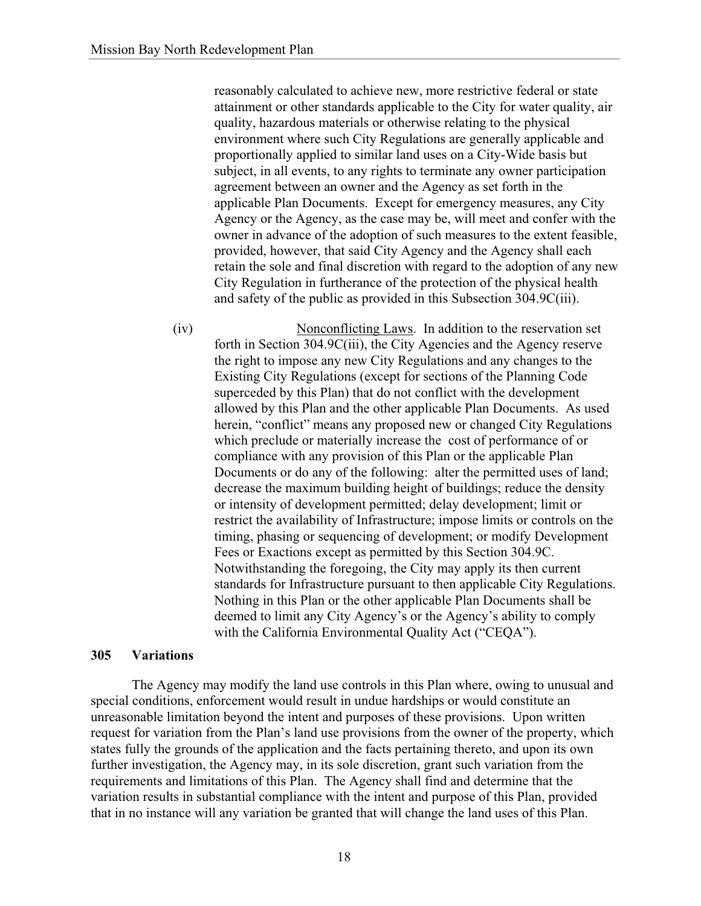reasonably calculated to achieve new, more restrictive federal or state attainment or other standards applicable to the City for water quality, air quality, hazardous materials or otherwise relating to the physical environment where such City Regulations are generally applicable and proportionally applied to similar land uses on a City-Wide basis but subject, in all events, to any rights to terminate any owner participation agreement between an owner and the Agency as set forth in the applicable Plan Documents. Except for emergency measures, any City Agency or the Agency, as the case may be, will meet and confer with the owner in advance of the adoption of such measures to the extent feasible, provided, however, that said City Agency and the Agency shall each retain the sole and final discretion with regard to the adoption of any new City Regulation in furtherance of the protection of the physical health and safety of the public as provided in this Subsection 304.9C(iii).

(iv) Nonconflicting Laws. In addition to the reservation set forth in Section 304.9C(iii), the City Agencies and the Agency reserve the right to impose any new City Regulations and any changes to the Existing City Regulations (except for sections of the Planning Code superceded by this Plan) that do not conflict with the development allowed by this Plan and the other applicable Plan Documents. As used herein, "conflict" means any proposed new or changed City Regulations which preclude or materially increase the cost of performance of or compliance with any provision of this Plan or the applicable Plan Documents or do any of the following: alter the permitted uses of land; decrease the maximum building height of buildings; reduce the density or intensity of development permitted; delay development; limit or restrict the availability of Infrastructure; impose limits or controls on the timing, phasing or sequencing of development; or modify Development Fees or Exactions except as permitted by this Section 304.9C. Notwithstanding the foregoing, the City may apply its then current standards for Infrastructure pursuant to then applicable City Regulations. Nothing in this Plan or the other applicable Plan Documents shall be deemed to limit any City Agency's or the Agency's ability to comply with the California Environmental Quality Act ("CEQA").

#### **305 Variations**

The Agency may modify the land use controls in this Plan where, owing to unusual and special conditions, enforcement would result in undue hardships or would constitute an unreasonable limitation beyond the intent and purposes of these provisions. Upon written request for variation from the Plan's land use provisions from the owner of the property, which states fully the grounds of the application and the facts pertaining thereto, and upon its own further investigation, the Agency may, in its sole discretion, grant such variation from the requirements and limitations of this Plan. The Agency shall find and determine that the variation results in substantial compliance with the intent and purpose of this Plan, provided that in no instance will any variation be granted that will change the land uses of this Plan.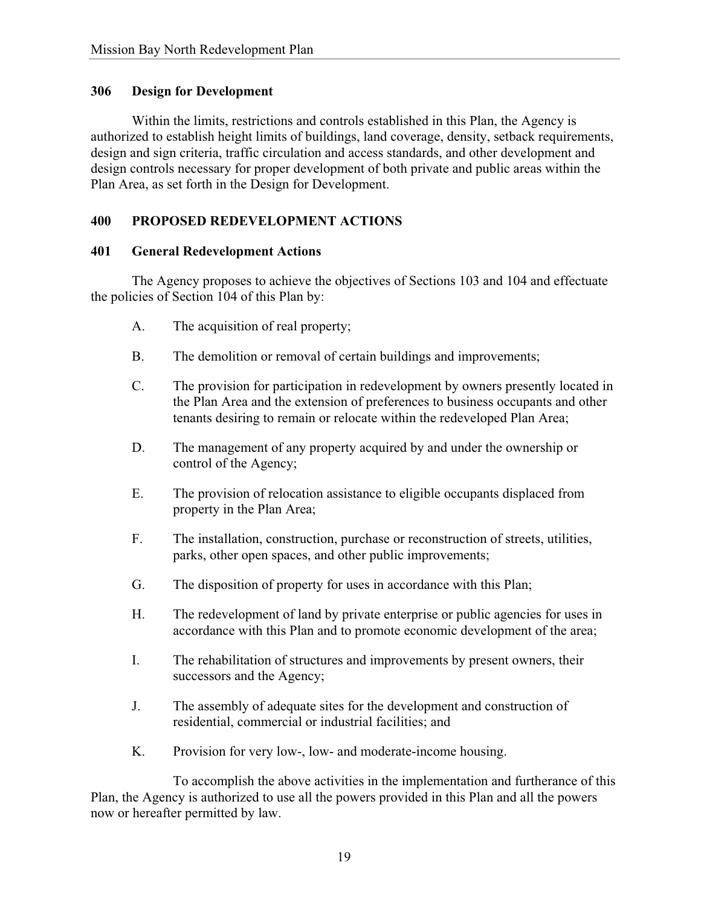### **306 Design for Development**

Within the limits, restrictions and controls established in this Plan, the Agency is authorized to establish height limits of buildings, land coverage, density, setback requirements, design and sign criteria, traffic circulation and access standards, and other development and design controls necessary for proper development of both private and public areas within the Plan Area, as set forth in the Design for Development.

# **400 PROPOSED REDEVELOPMENT ACTIONS**

### **401 General Redevelopment Actions**

The Agency proposes to achieve the objectives of Sections 103 and 104 and effectuate the policies of Section 104 of this Plan by:

- A. The acquisition of real property;
- B. The demolition or removal of certain buildings and improvements;
- C. The provision for participation in redevelopment by owners presently located in the Plan Area and the extension of preferences to business occupants and other tenants desiring to remain or relocate within the redeveloped Plan Area;
- D. The management of any property acquired by and under the ownership or control of the Agency;
- E. The provision of relocation assistance to eligible occupants displaced from property in the Plan Area;
- F. The installation, construction, purchase or reconstruction of streets, utilities, parks, other open spaces, and other public improvements;
- G. The disposition of property for uses in accordance with this Plan;
- H. The redevelopment of land by private enterprise or public agencies for uses in accordance with this Plan and to promote economic development of the area;
- I. The rehabilitation of structures and improvements by present owners, their successors and the Agency;
- J. The assembly of adequate sites for the development and construction of residential, commercial or industrial facilities; and
- K. Provision for very low-, low- and moderate-income housing.

 To accomplish the above activities in the implementation and furtherance of this Plan, the Agency is authorized to use all the powers provided in this Plan and all the powers now or hereafter permitted by law.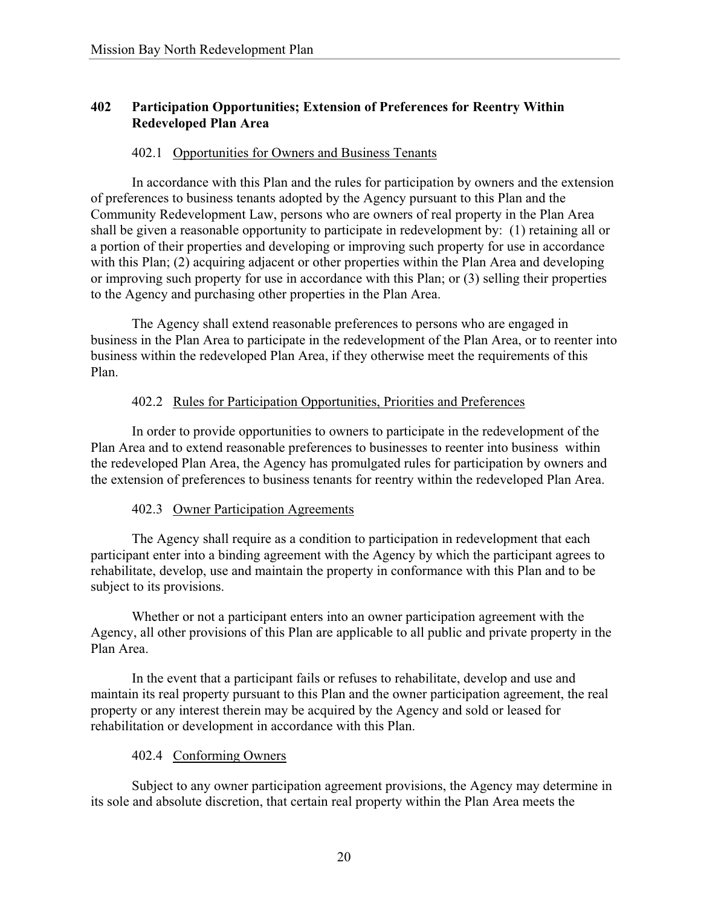# **402 Participation Opportunities; Extension of Preferences for Reentry Within Redeveloped Plan Area**

### 402.1 Opportunities for Owners and Business Tenants

In accordance with this Plan and the rules for participation by owners and the extension of preferences to business tenants adopted by the Agency pursuant to this Plan and the Community Redevelopment Law, persons who are owners of real property in the Plan Area shall be given a reasonable opportunity to participate in redevelopment by: (1) retaining all or a portion of their properties and developing or improving such property for use in accordance with this Plan; (2) acquiring adjacent or other properties within the Plan Area and developing or improving such property for use in accordance with this Plan; or (3) selling their properties to the Agency and purchasing other properties in the Plan Area.

The Agency shall extend reasonable preferences to persons who are engaged in business in the Plan Area to participate in the redevelopment of the Plan Area, or to reenter into business within the redeveloped Plan Area, if they otherwise meet the requirements of this Plan.

### 402.2 Rules for Participation Opportunities, Priorities and Preferences

In order to provide opportunities to owners to participate in the redevelopment of the Plan Area and to extend reasonable preferences to businesses to reenter into business within the redeveloped Plan Area, the Agency has promulgated rules for participation by owners and the extension of preferences to business tenants for reentry within the redeveloped Plan Area.

### 402.3 Owner Participation Agreements

The Agency shall require as a condition to participation in redevelopment that each participant enter into a binding agreement with the Agency by which the participant agrees to rehabilitate, develop, use and maintain the property in conformance with this Plan and to be subject to its provisions.

Whether or not a participant enters into an owner participation agreement with the Agency, all other provisions of this Plan are applicable to all public and private property in the Plan Area.

In the event that a participant fails or refuses to rehabilitate, develop and use and maintain its real property pursuant to this Plan and the owner participation agreement, the real property or any interest therein may be acquired by the Agency and sold or leased for rehabilitation or development in accordance with this Plan.

### 402.4 Conforming Owners

Subject to any owner participation agreement provisions, the Agency may determine in its sole and absolute discretion, that certain real property within the Plan Area meets the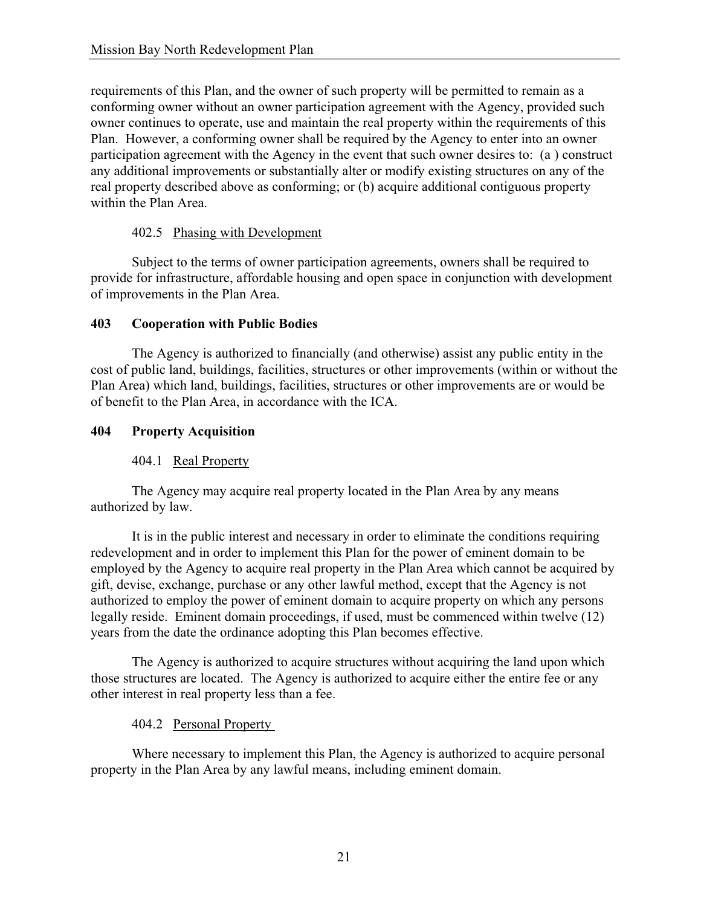requirements of this Plan, and the owner of such property will be permitted to remain as a conforming owner without an owner participation agreement with the Agency, provided such owner continues to operate, use and maintain the real property within the requirements of this Plan. However, a conforming owner shall be required by the Agency to enter into an owner participation agreement with the Agency in the event that such owner desires to: (a ) construct any additional improvements or substantially alter or modify existing structures on any of the real property described above as conforming; or (b) acquire additional contiguous property within the Plan Area.

# 402.5 Phasing with Development

Subject to the terms of owner participation agreements, owners shall be required to provide for infrastructure, affordable housing and open space in conjunction with development of improvements in the Plan Area.

# **403 Cooperation with Public Bodies**

The Agency is authorized to financially (and otherwise) assist any public entity in the cost of public land, buildings, facilities, structures or other improvements (within or without the Plan Area) which land, buildings, facilities, structures or other improvements are or would be of benefit to the Plan Area, in accordance with the ICA.

# **404 Property Acquisition**

# 404.1 Real Property

The Agency may acquire real property located in the Plan Area by any means authorized by law.

It is in the public interest and necessary in order to eliminate the conditions requiring redevelopment and in order to implement this Plan for the power of eminent domain to be employed by the Agency to acquire real property in the Plan Area which cannot be acquired by gift, devise, exchange, purchase or any other lawful method, except that the Agency is not authorized to employ the power of eminent domain to acquire property on which any persons legally reside. Eminent domain proceedings, if used, must be commenced within twelve (12) years from the date the ordinance adopting this Plan becomes effective.

The Agency is authorized to acquire structures without acquiring the land upon which those structures are located. The Agency is authorized to acquire either the entire fee or any other interest in real property less than a fee.

# 404.2 Personal Property

Where necessary to implement this Plan, the Agency is authorized to acquire personal property in the Plan Area by any lawful means, including eminent domain.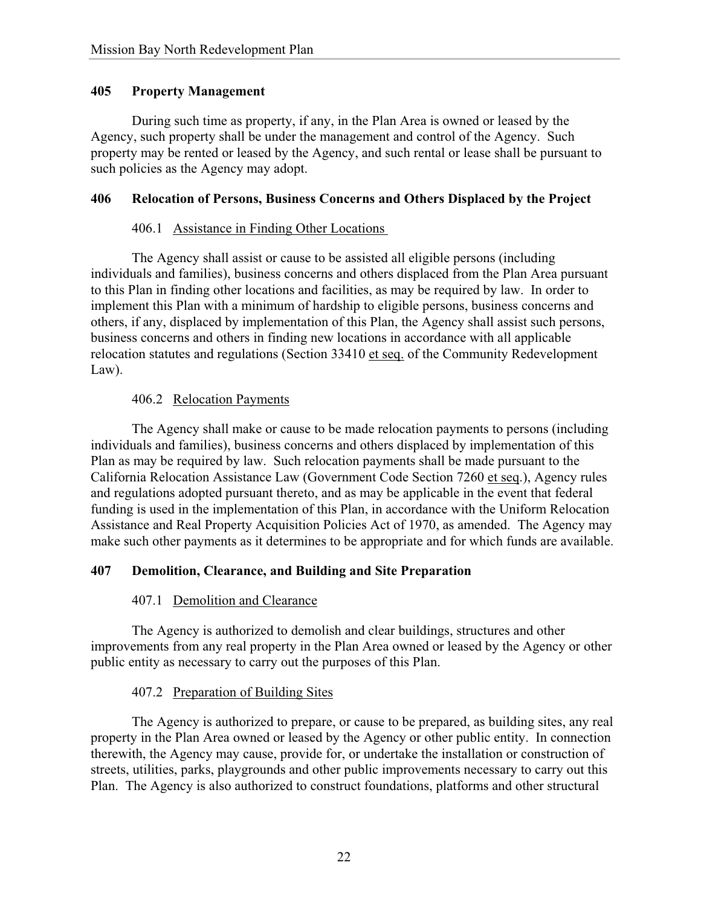### **405 Property Management**

During such time as property, if any, in the Plan Area is owned or leased by the Agency, such property shall be under the management and control of the Agency. Such property may be rented or leased by the Agency, and such rental or lease shall be pursuant to such policies as the Agency may adopt.

### **406 Relocation of Persons, Business Concerns and Others Displaced by the Project**

### 406.1 Assistance in Finding Other Locations

The Agency shall assist or cause to be assisted all eligible persons (including individuals and families), business concerns and others displaced from the Plan Area pursuant to this Plan in finding other locations and facilities, as may be required by law. In order to implement this Plan with a minimum of hardship to eligible persons, business concerns and others, if any, displaced by implementation of this Plan, the Agency shall assist such persons, business concerns and others in finding new locations in accordance with all applicable relocation statutes and regulations (Section 33410 et seq. of the Community Redevelopment Law).

### 406.2 Relocation Payments

The Agency shall make or cause to be made relocation payments to persons (including individuals and families), business concerns and others displaced by implementation of this Plan as may be required by law. Such relocation payments shall be made pursuant to the California Relocation Assistance Law (Government Code Section 7260 et seq.), Agency rules and regulations adopted pursuant thereto, and as may be applicable in the event that federal funding is used in the implementation of this Plan, in accordance with the Uniform Relocation Assistance and Real Property Acquisition Policies Act of 1970, as amended. The Agency may make such other payments as it determines to be appropriate and for which funds are available.

# **407 Demolition, Clearance, and Building and Site Preparation**

# 407.1 Demolition and Clearance

The Agency is authorized to demolish and clear buildings, structures and other improvements from any real property in the Plan Area owned or leased by the Agency or other public entity as necessary to carry out the purposes of this Plan.

# 407.2 Preparation of Building Sites

The Agency is authorized to prepare, or cause to be prepared, as building sites, any real property in the Plan Area owned or leased by the Agency or other public entity. In connection therewith, the Agency may cause, provide for, or undertake the installation or construction of streets, utilities, parks, playgrounds and other public improvements necessary to carry out this Plan. The Agency is also authorized to construct foundations, platforms and other structural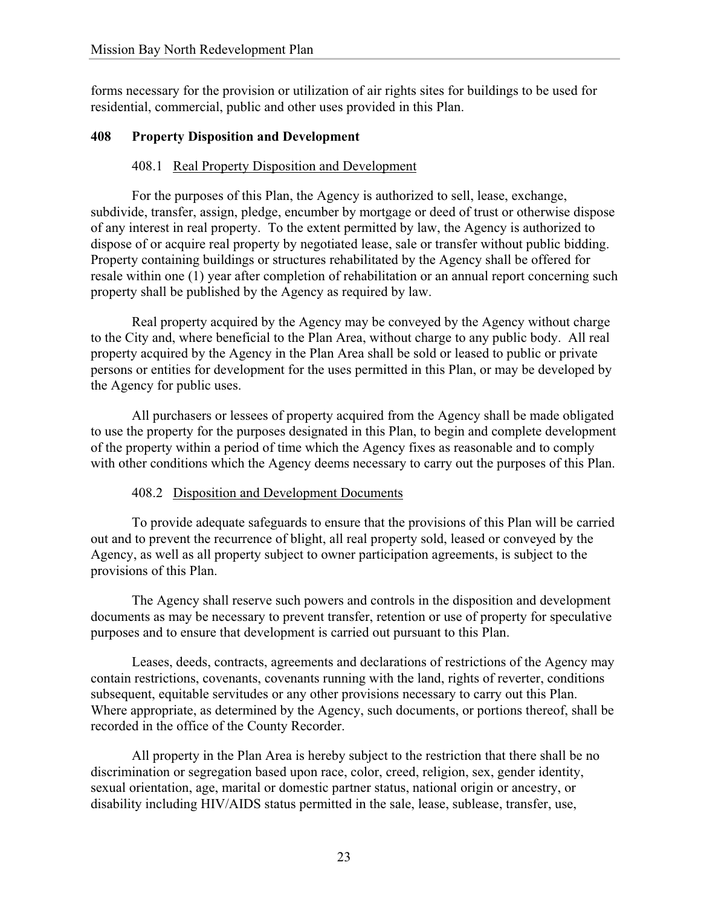forms necessary for the provision or utilization of air rights sites for buildings to be used for residential, commercial, public and other uses provided in this Plan.

### **408 Property Disposition and Development**

### 408.1 Real Property Disposition and Development

For the purposes of this Plan, the Agency is authorized to sell, lease, exchange, subdivide, transfer, assign, pledge, encumber by mortgage or deed of trust or otherwise dispose of any interest in real property. To the extent permitted by law, the Agency is authorized to dispose of or acquire real property by negotiated lease, sale or transfer without public bidding. Property containing buildings or structures rehabilitated by the Agency shall be offered for resale within one (1) year after completion of rehabilitation or an annual report concerning such property shall be published by the Agency as required by law.

Real property acquired by the Agency may be conveyed by the Agency without charge to the City and, where beneficial to the Plan Area, without charge to any public body. All real property acquired by the Agency in the Plan Area shall be sold or leased to public or private persons or entities for development for the uses permitted in this Plan, or may be developed by the Agency for public uses.

All purchasers or lessees of property acquired from the Agency shall be made obligated to use the property for the purposes designated in this Plan, to begin and complete development of the property within a period of time which the Agency fixes as reasonable and to comply with other conditions which the Agency deems necessary to carry out the purposes of this Plan.

### 408.2 Disposition and Development Documents

To provide adequate safeguards to ensure that the provisions of this Plan will be carried out and to prevent the recurrence of blight, all real property sold, leased or conveyed by the Agency, as well as all property subject to owner participation agreements, is subject to the provisions of this Plan.

The Agency shall reserve such powers and controls in the disposition and development documents as may be necessary to prevent transfer, retention or use of property for speculative purposes and to ensure that development is carried out pursuant to this Plan.

Leases, deeds, contracts, agreements and declarations of restrictions of the Agency may contain restrictions, covenants, covenants running with the land, rights of reverter, conditions subsequent, equitable servitudes or any other provisions necessary to carry out this Plan. Where appropriate, as determined by the Agency, such documents, or portions thereof, shall be recorded in the office of the County Recorder.

All property in the Plan Area is hereby subject to the restriction that there shall be no discrimination or segregation based upon race, color, creed, religion, sex, gender identity, sexual orientation, age, marital or domestic partner status, national origin or ancestry, or disability including HIV/AIDS status permitted in the sale, lease, sublease, transfer, use,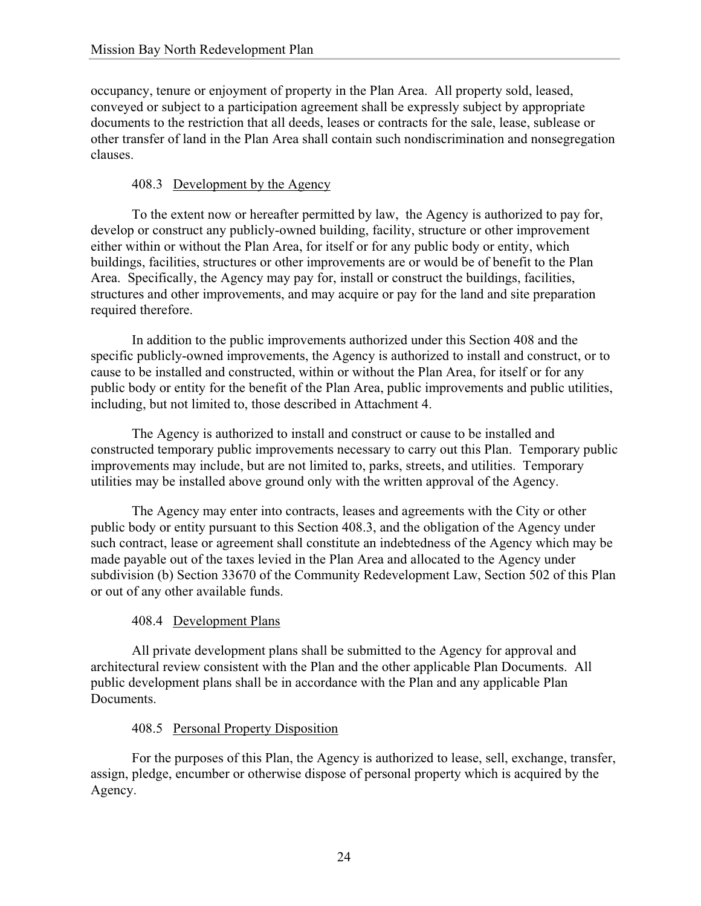occupancy, tenure or enjoyment of property in the Plan Area. All property sold, leased, conveyed or subject to a participation agreement shall be expressly subject by appropriate documents to the restriction that all deeds, leases or contracts for the sale, lease, sublease or other transfer of land in the Plan Area shall contain such nondiscrimination and nonsegregation clauses.

# 408.3 Development by the Agency

To the extent now or hereafter permitted by law, the Agency is authorized to pay for, develop or construct any publicly-owned building, facility, structure or other improvement either within or without the Plan Area, for itself or for any public body or entity, which buildings, facilities, structures or other improvements are or would be of benefit to the Plan Area. Specifically, the Agency may pay for, install or construct the buildings, facilities, structures and other improvements, and may acquire or pay for the land and site preparation required therefore.

In addition to the public improvements authorized under this Section 408 and the specific publicly-owned improvements, the Agency is authorized to install and construct, or to cause to be installed and constructed, within or without the Plan Area, for itself or for any public body or entity for the benefit of the Plan Area, public improvements and public utilities, including, but not limited to, those described in Attachment 4.

The Agency is authorized to install and construct or cause to be installed and constructed temporary public improvements necessary to carry out this Plan. Temporary public improvements may include, but are not limited to, parks, streets, and utilities. Temporary utilities may be installed above ground only with the written approval of the Agency.

The Agency may enter into contracts, leases and agreements with the City or other public body or entity pursuant to this Section 408.3, and the obligation of the Agency under such contract, lease or agreement shall constitute an indebtedness of the Agency which may be made payable out of the taxes levied in the Plan Area and allocated to the Agency under subdivision (b) Section 33670 of the Community Redevelopment Law, Section 502 of this Plan or out of any other available funds.

# 408.4 Development Plans

All private development plans shall be submitted to the Agency for approval and architectural review consistent with the Plan and the other applicable Plan Documents. All public development plans shall be in accordance with the Plan and any applicable Plan Documents.

# 408.5 Personal Property Disposition

For the purposes of this Plan, the Agency is authorized to lease, sell, exchange, transfer, assign, pledge, encumber or otherwise dispose of personal property which is acquired by the Agency.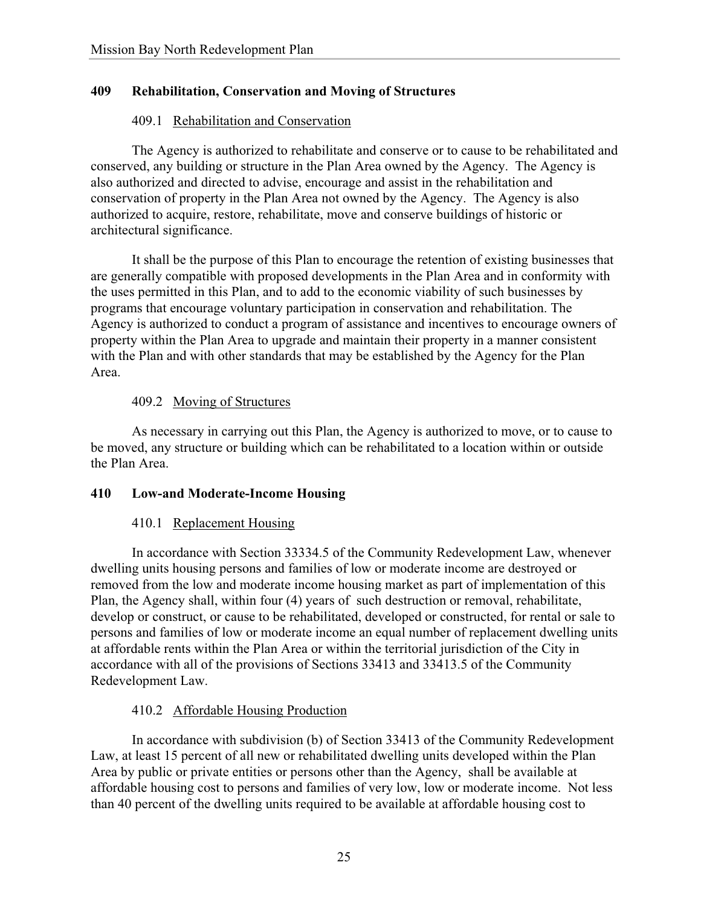### **409 Rehabilitation, Conservation and Moving of Structures**

### 409.1 Rehabilitation and Conservation

The Agency is authorized to rehabilitate and conserve or to cause to be rehabilitated and conserved, any building or structure in the Plan Area owned by the Agency. The Agency is also authorized and directed to advise, encourage and assist in the rehabilitation and conservation of property in the Plan Area not owned by the Agency. The Agency is also authorized to acquire, restore, rehabilitate, move and conserve buildings of historic or architectural significance.

It shall be the purpose of this Plan to encourage the retention of existing businesses that are generally compatible with proposed developments in the Plan Area and in conformity with the uses permitted in this Plan, and to add to the economic viability of such businesses by programs that encourage voluntary participation in conservation and rehabilitation. The Agency is authorized to conduct a program of assistance and incentives to encourage owners of property within the Plan Area to upgrade and maintain their property in a manner consistent with the Plan and with other standards that may be established by the Agency for the Plan Area.

#### 409.2 Moving of Structures

As necessary in carrying out this Plan, the Agency is authorized to move, or to cause to be moved, any structure or building which can be rehabilitated to a location within or outside the Plan Area.

#### **410 Low-and Moderate-Income Housing**

### 410.1 Replacement Housing

In accordance with Section 33334.5 of the Community Redevelopment Law, whenever dwelling units housing persons and families of low or moderate income are destroyed or removed from the low and moderate income housing market as part of implementation of this Plan, the Agency shall, within four (4) years of such destruction or removal, rehabilitate, develop or construct, or cause to be rehabilitated, developed or constructed, for rental or sale to persons and families of low or moderate income an equal number of replacement dwelling units at affordable rents within the Plan Area or within the territorial jurisdiction of the City in accordance with all of the provisions of Sections 33413 and 33413.5 of the Community Redevelopment Law.

### 410.2 Affordable Housing Production

In accordance with subdivision (b) of Section 33413 of the Community Redevelopment Law, at least 15 percent of all new or rehabilitated dwelling units developed within the Plan Area by public or private entities or persons other than the Agency, shall be available at affordable housing cost to persons and families of very low, low or moderate income. Not less than 40 percent of the dwelling units required to be available at affordable housing cost to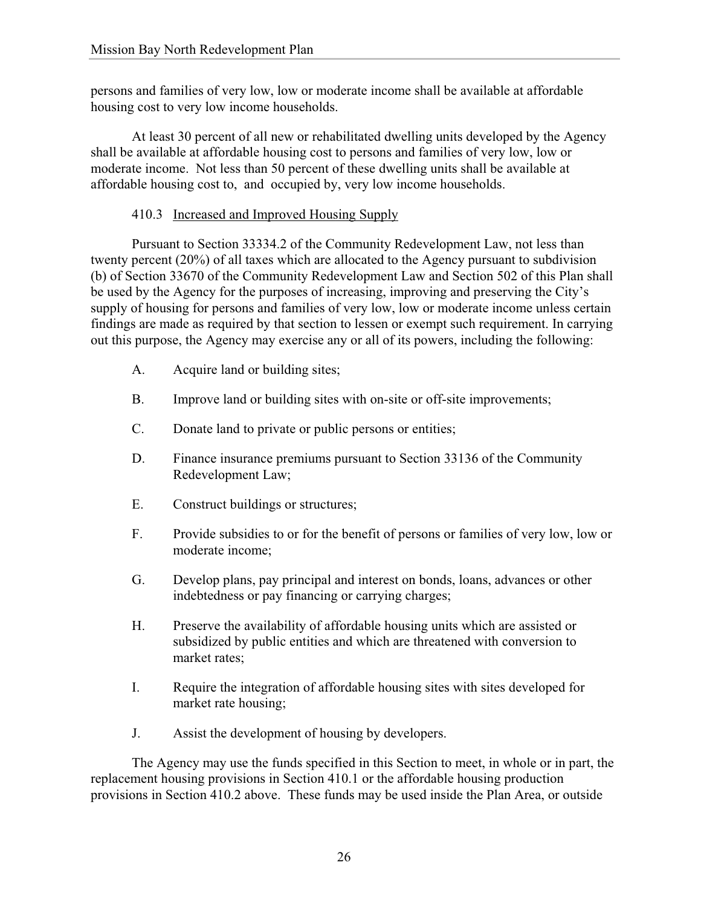persons and families of very low, low or moderate income shall be available at affordable housing cost to very low income households.

At least 30 percent of all new or rehabilitated dwelling units developed by the Agency shall be available at affordable housing cost to persons and families of very low, low or moderate income. Not less than 50 percent of these dwelling units shall be available at affordable housing cost to, and occupied by, very low income households.

# 410.3 Increased and Improved Housing Supply

Pursuant to Section 33334.2 of the Community Redevelopment Law, not less than twenty percent (20%) of all taxes which are allocated to the Agency pursuant to subdivision (b) of Section 33670 of the Community Redevelopment Law and Section 502 of this Plan shall be used by the Agency for the purposes of increasing, improving and preserving the City's supply of housing for persons and families of very low, low or moderate income unless certain findings are made as required by that section to lessen or exempt such requirement. In carrying out this purpose, the Agency may exercise any or all of its powers, including the following:

- A. Acquire land or building sites;
- B. Improve land or building sites with on-site or off-site improvements;
- C. Donate land to private or public persons or entities;
- D. Finance insurance premiums pursuant to Section 33136 of the Community Redevelopment Law;
- E. Construct buildings or structures;
- F. Provide subsidies to or for the benefit of persons or families of very low, low or moderate income;
- G. Develop plans, pay principal and interest on bonds, loans, advances or other indebtedness or pay financing or carrying charges;
- H. Preserve the availability of affordable housing units which are assisted or subsidized by public entities and which are threatened with conversion to market rates;
- I. Require the integration of affordable housing sites with sites developed for market rate housing;
- J. Assist the development of housing by developers.

The Agency may use the funds specified in this Section to meet, in whole or in part, the replacement housing provisions in Section 410.1 or the affordable housing production provisions in Section 410.2 above. These funds may be used inside the Plan Area, or outside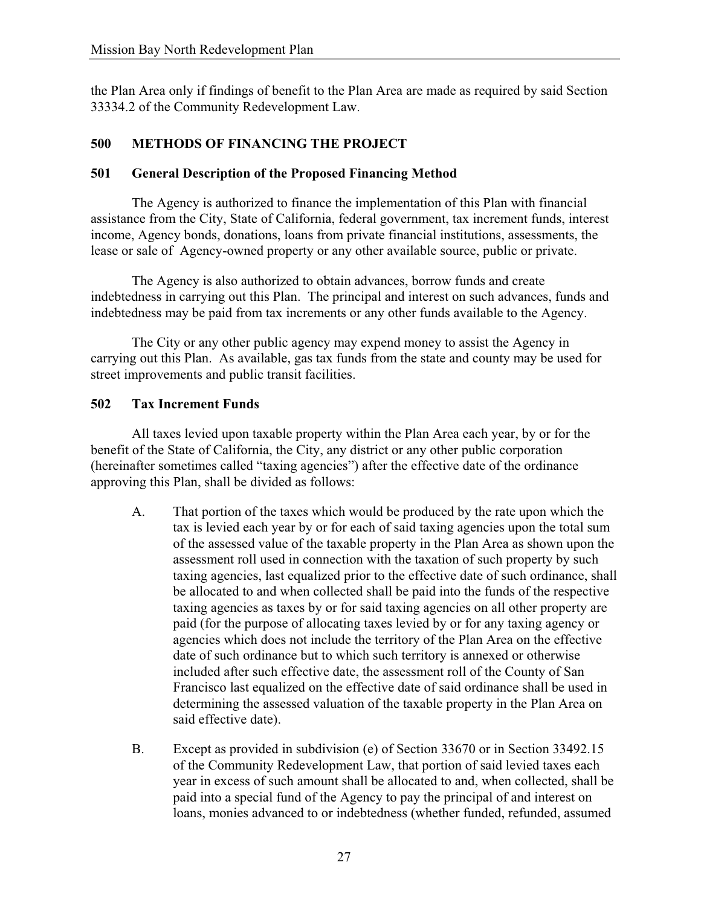the Plan Area only if findings of benefit to the Plan Area are made as required by said Section 33334.2 of the Community Redevelopment Law.

# **500 METHODS OF FINANCING THE PROJECT**

### **501 General Description of the Proposed Financing Method**

The Agency is authorized to finance the implementation of this Plan with financial assistance from the City, State of California, federal government, tax increment funds, interest income, Agency bonds, donations, loans from private financial institutions, assessments, the lease or sale of Agency-owned property or any other available source, public or private.

The Agency is also authorized to obtain advances, borrow funds and create indebtedness in carrying out this Plan. The principal and interest on such advances, funds and indebtedness may be paid from tax increments or any other funds available to the Agency.

The City or any other public agency may expend money to assist the Agency in carrying out this Plan. As available, gas tax funds from the state and county may be used for street improvements and public transit facilities.

### **502 Tax Increment Funds**

All taxes levied upon taxable property within the Plan Area each year, by or for the benefit of the State of California, the City, any district or any other public corporation (hereinafter sometimes called "taxing agencies") after the effective date of the ordinance approving this Plan, shall be divided as follows:

- A. That portion of the taxes which would be produced by the rate upon which the tax is levied each year by or for each of said taxing agencies upon the total sum of the assessed value of the taxable property in the Plan Area as shown upon the assessment roll used in connection with the taxation of such property by such taxing agencies, last equalized prior to the effective date of such ordinance, shall be allocated to and when collected shall be paid into the funds of the respective taxing agencies as taxes by or for said taxing agencies on all other property are paid (for the purpose of allocating taxes levied by or for any taxing agency or agencies which does not include the territory of the Plan Area on the effective date of such ordinance but to which such territory is annexed or otherwise included after such effective date, the assessment roll of the County of San Francisco last equalized on the effective date of said ordinance shall be used in determining the assessed valuation of the taxable property in the Plan Area on said effective date).
- B. Except as provided in subdivision (e) of Section 33670 or in Section 33492.15 of the Community Redevelopment Law, that portion of said levied taxes each year in excess of such amount shall be allocated to and, when collected, shall be paid into a special fund of the Agency to pay the principal of and interest on loans, monies advanced to or indebtedness (whether funded, refunded, assumed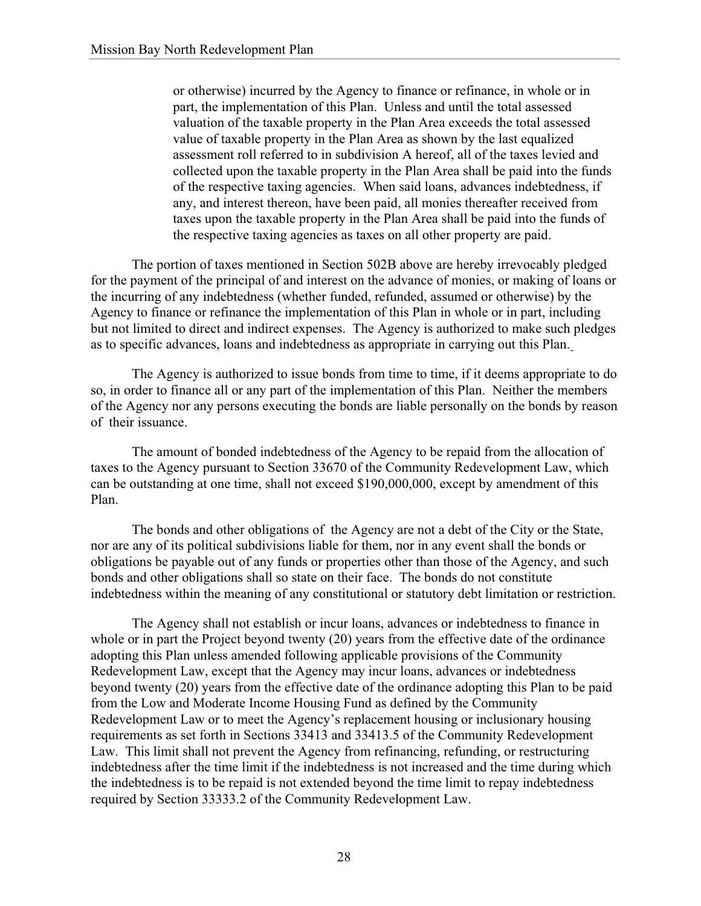or otherwise) incurred by the Agency to finance or refinance, in whole or in part, the implementation of this Plan. Unless and until the total assessed valuation of the taxable property in the Plan Area exceeds the total assessed value of taxable property in the Plan Area as shown by the last equalized assessment roll referred to in subdivision A hereof, all of the taxes levied and collected upon the taxable property in the Plan Area shall be paid into the funds of the respective taxing agencies. When said loans, advances indebtedness, if any, and interest thereon, have been paid, all monies thereafter received from taxes upon the taxable property in the Plan Area shall be paid into the funds of the respective taxing agencies as taxes on all other property are paid.

The portion of taxes mentioned in Section 502B above are hereby irrevocably pledged for the payment of the principal of and interest on the advance of monies, or making of loans or the incurring of any indebtedness (whether funded, refunded, assumed or otherwise) by the Agency to finance or refinance the implementation of this Plan in whole or in part, including but not limited to direct and indirect expenses. The Agency is authorized to make such pledges as to specific advances, loans and indebtedness as appropriate in carrying out this Plan.

The Agency is authorized to issue bonds from time to time, if it deems appropriate to do so, in order to finance all or any part of the implementation of this Plan. Neither the members of the Agency nor any persons executing the bonds are liable personally on the bonds by reason of their issuance.

The amount of bonded indebtedness of the Agency to be repaid from the allocation of taxes to the Agency pursuant to Section 33670 of the Community Redevelopment Law, which can be outstanding at one time, shall not exceed \$190,000,000, except by amendment of this Plan.

The bonds and other obligations of the Agency are not a debt of the City or the State, nor are any of its political subdivisions liable for them, nor in any event shall the bonds or obligations be payable out of any funds or properties other than those of the Agency, and such bonds and other obligations shall so state on their face. The bonds do not constitute indebtedness within the meaning of any constitutional or statutory debt limitation or restriction.

The Agency shall not establish or incur loans, advances or indebtedness to finance in whole or in part the Project beyond twenty (20) years from the effective date of the ordinance adopting this Plan unless amended following applicable provisions of the Community Redevelopment Law, except that the Agency may incur loans, advances or indebtedness beyond twenty (20) years from the effective date of the ordinance adopting this Plan to be paid from the Low and Moderate Income Housing Fund as defined by the Community Redevelopment Law or to meet the Agency's replacement housing or inclusionary housing requirements as set forth in Sections 33413 and 33413.5 of the Community Redevelopment Law. This limit shall not prevent the Agency from refinancing, refunding, or restructuring indebtedness after the time limit if the indebtedness is not increased and the time during which the indebtedness is to be repaid is not extended beyond the time limit to repay indebtedness required by Section 33333.2 of the Community Redevelopment Law.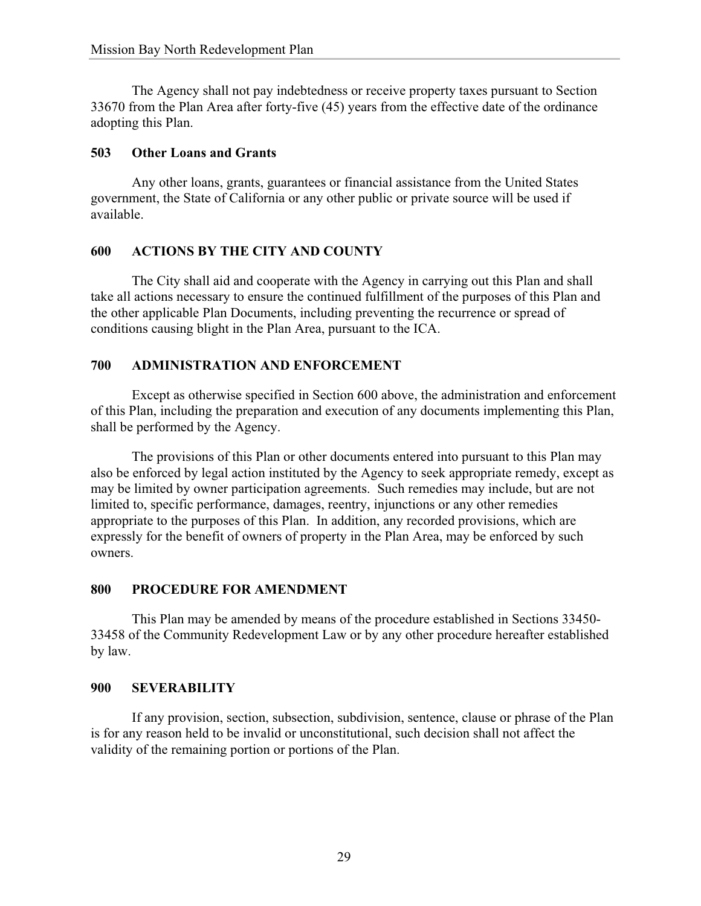The Agency shall not pay indebtedness or receive property taxes pursuant to Section 33670 from the Plan Area after forty-five (45) years from the effective date of the ordinance adopting this Plan.

#### **503 Other Loans and Grants**

Any other loans, grants, guarantees or financial assistance from the United States government, the State of California or any other public or private source will be used if available.

#### **600 ACTIONS BY THE CITY AND COUNTY**

The City shall aid and cooperate with the Agency in carrying out this Plan and shall take all actions necessary to ensure the continued fulfillment of the purposes of this Plan and the other applicable Plan Documents, including preventing the recurrence or spread of conditions causing blight in the Plan Area, pursuant to the ICA.

### **700 ADMINISTRATION AND ENFORCEMENT**

Except as otherwise specified in Section 600 above, the administration and enforcement of this Plan, including the preparation and execution of any documents implementing this Plan, shall be performed by the Agency.

The provisions of this Plan or other documents entered into pursuant to this Plan may also be enforced by legal action instituted by the Agency to seek appropriate remedy, except as may be limited by owner participation agreements. Such remedies may include, but are not limited to, specific performance, damages, reentry, injunctions or any other remedies appropriate to the purposes of this Plan. In addition, any recorded provisions, which are expressly for the benefit of owners of property in the Plan Area, may be enforced by such owners.

#### **800 PROCEDURE FOR AMENDMENT**

This Plan may be amended by means of the procedure established in Sections 33450- 33458 of the Community Redevelopment Law or by any other procedure hereafter established by law.

#### **900 SEVERABILITY**

If any provision, section, subsection, subdivision, sentence, clause or phrase of the Plan is for any reason held to be invalid or unconstitutional, such decision shall not affect the validity of the remaining portion or portions of the Plan.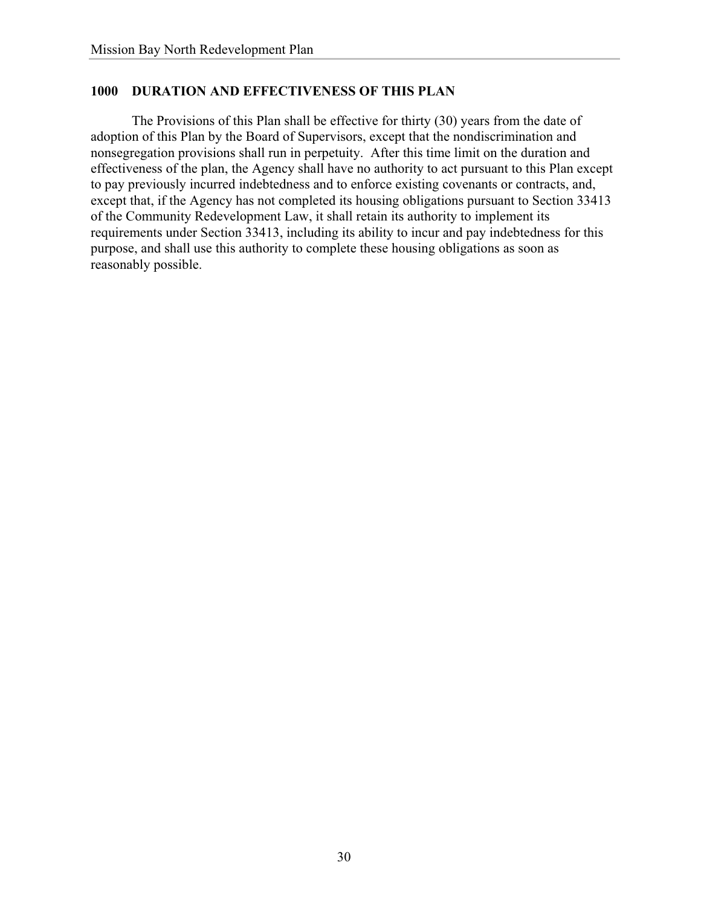### **1000 DURATION AND EFFECTIVENESS OF THIS PLAN**

The Provisions of this Plan shall be effective for thirty (30) years from the date of adoption of this Plan by the Board of Supervisors, except that the nondiscrimination and nonsegregation provisions shall run in perpetuity. After this time limit on the duration and effectiveness of the plan, the Agency shall have no authority to act pursuant to this Plan except to pay previously incurred indebtedness and to enforce existing covenants or contracts, and, except that, if the Agency has not completed its housing obligations pursuant to Section 33413 of the Community Redevelopment Law, it shall retain its authority to implement its requirements under Section 33413, including its ability to incur and pay indebtedness for this purpose, and shall use this authority to complete these housing obligations as soon as reasonably possible.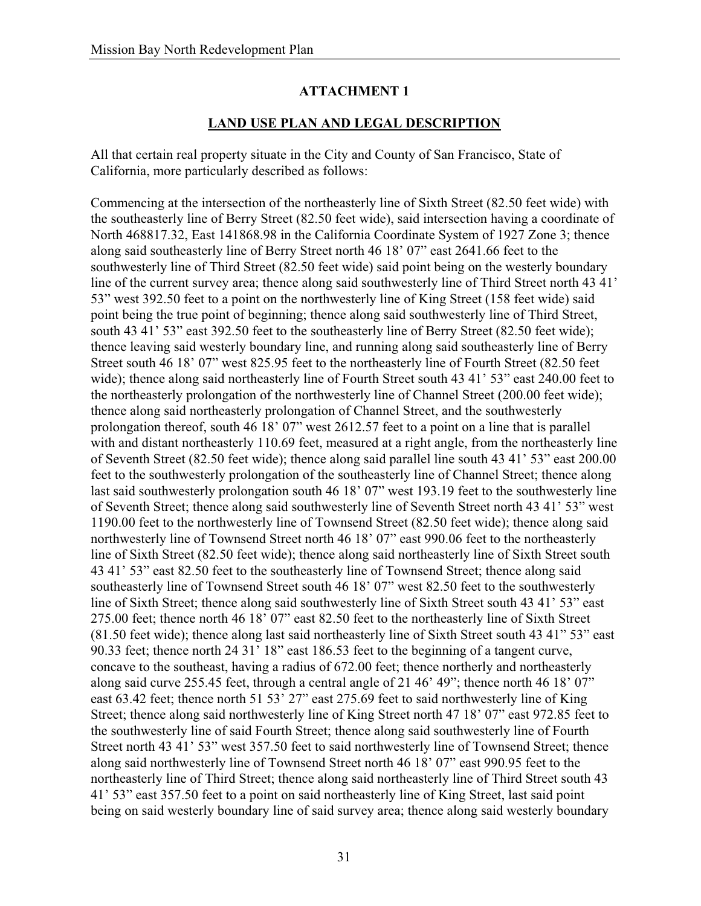# **LAND USE PLAN AND LEGAL DESCRIPTION**

All that certain real property situate in the City and County of San Francisco, State of California, more particularly described as follows:

Commencing at the intersection of the northeasterly line of Sixth Street (82.50 feet wide) with the southeasterly line of Berry Street (82.50 feet wide), said intersection having a coordinate of North 468817.32, East 141868.98 in the California Coordinate System of 1927 Zone 3; thence along said southeasterly line of Berry Street north 46 18' 07" east 2641.66 feet to the southwesterly line of Third Street (82.50 feet wide) said point being on the westerly boundary line of the current survey area; thence along said southwesterly line of Third Street north 43 41' 53" west 392.50 feet to a point on the northwesterly line of King Street (158 feet wide) said point being the true point of beginning; thence along said southwesterly line of Third Street, south 43 41' 53" east 392.50 feet to the southeasterly line of Berry Street (82.50 feet wide); thence leaving said westerly boundary line, and running along said southeasterly line of Berry Street south 46 18' 07" west 825.95 feet to the northeasterly line of Fourth Street (82.50 feet wide); thence along said northeasterly line of Fourth Street south 43 41' 53" east 240.00 feet to the northeasterly prolongation of the northwesterly line of Channel Street (200.00 feet wide); thence along said northeasterly prolongation of Channel Street, and the southwesterly prolongation thereof, south 46 18' 07" west 2612.57 feet to a point on a line that is parallel with and distant northeasterly 110.69 feet, measured at a right angle, from the northeasterly line of Seventh Street (82.50 feet wide); thence along said parallel line south 43 41' 53" east 200.00 feet to the southwesterly prolongation of the southeasterly line of Channel Street; thence along last said southwesterly prolongation south 46 18' 07" west 193.19 feet to the southwesterly line of Seventh Street; thence along said southwesterly line of Seventh Street north 43 41' 53" west 1190.00 feet to the northwesterly line of Townsend Street (82.50 feet wide); thence along said northwesterly line of Townsend Street north 46 18' 07" east 990.06 feet to the northeasterly line of Sixth Street (82.50 feet wide); thence along said northeasterly line of Sixth Street south 43 41' 53" east 82.50 feet to the southeasterly line of Townsend Street; thence along said southeasterly line of Townsend Street south 46 18' 07" west 82.50 feet to the southwesterly line of Sixth Street; thence along said southwesterly line of Sixth Street south 43 41' 53" east 275.00 feet; thence north 46 18' 07" east 82.50 feet to the northeasterly line of Sixth Street (81.50 feet wide); thence along last said northeasterly line of Sixth Street south 43 41" 53" east 90.33 feet; thence north 24 31' 18" east 186.53 feet to the beginning of a tangent curve, concave to the southeast, having a radius of 672.00 feet; thence northerly and northeasterly along said curve 255.45 feet, through a central angle of 21 46' 49"; thence north 46 18' 07" east 63.42 feet; thence north 51 53' 27" east 275.69 feet to said northwesterly line of King Street; thence along said northwesterly line of King Street north 47 18' 07" east 972.85 feet to the southwesterly line of said Fourth Street; thence along said southwesterly line of Fourth Street north 43 41' 53" west 357.50 feet to said northwesterly line of Townsend Street; thence along said northwesterly line of Townsend Street north 46 18' 07" east 990.95 feet to the northeasterly line of Third Street; thence along said northeasterly line of Third Street south 43 41' 53" east 357.50 feet to a point on said northeasterly line of King Street, last said point being on said westerly boundary line of said survey area; thence along said westerly boundary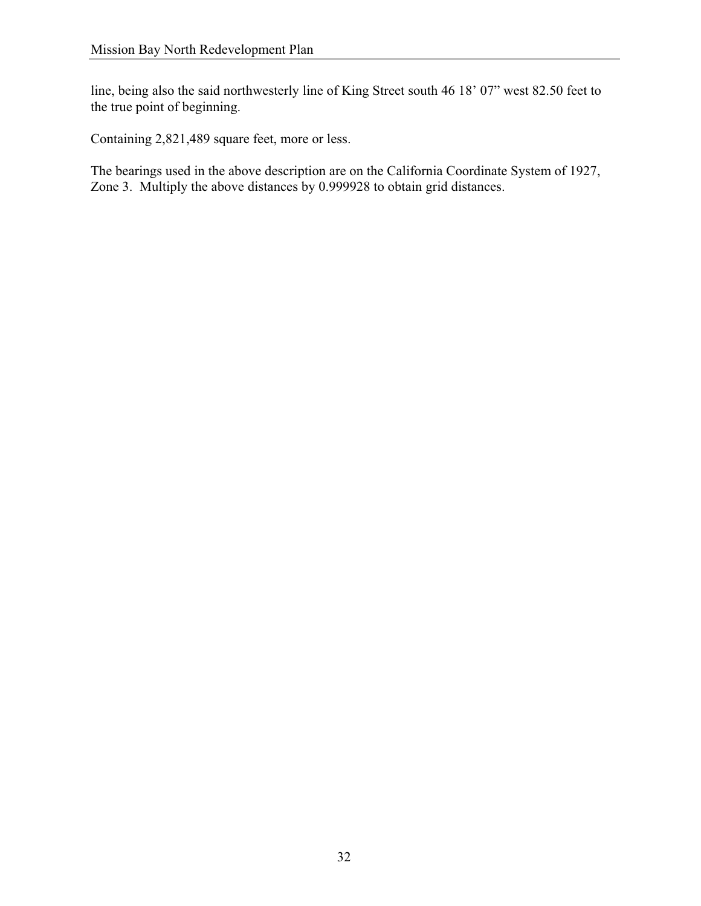line, being also the said northwesterly line of King Street south 46 18' 07" west 82.50 feet to the true point of beginning.

Containing 2,821,489 square feet, more or less.

The bearings used in the above description are on the California Coordinate System of 1927, Zone 3. Multiply the above distances by 0.999928 to obtain grid distances.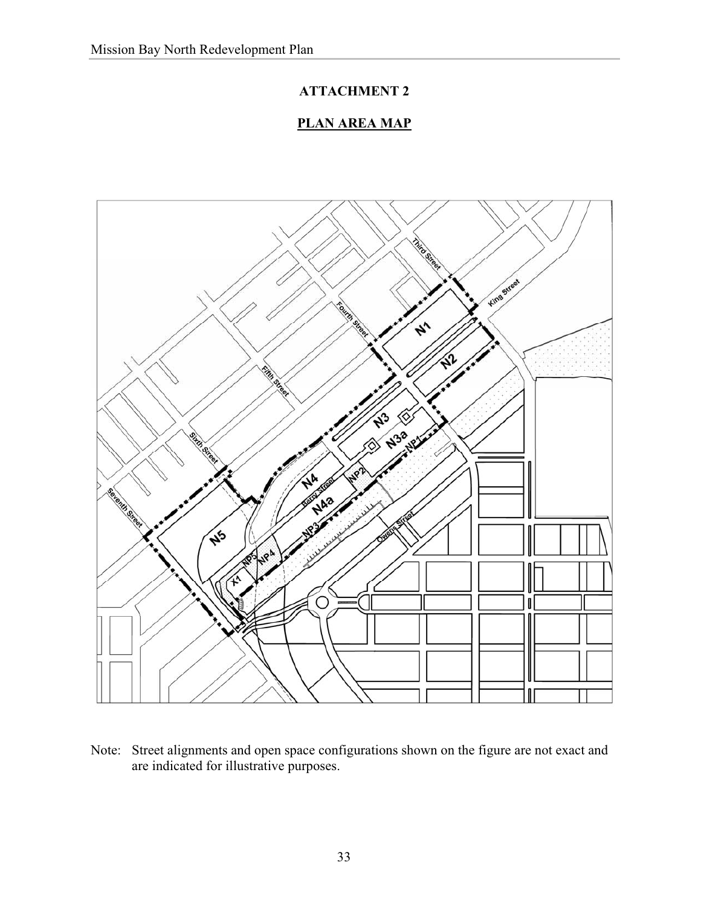# **PLAN AREA MAP**



Note: Street alignments and open space configurations shown on the figure are not exact and are indicated for illustrative purposes.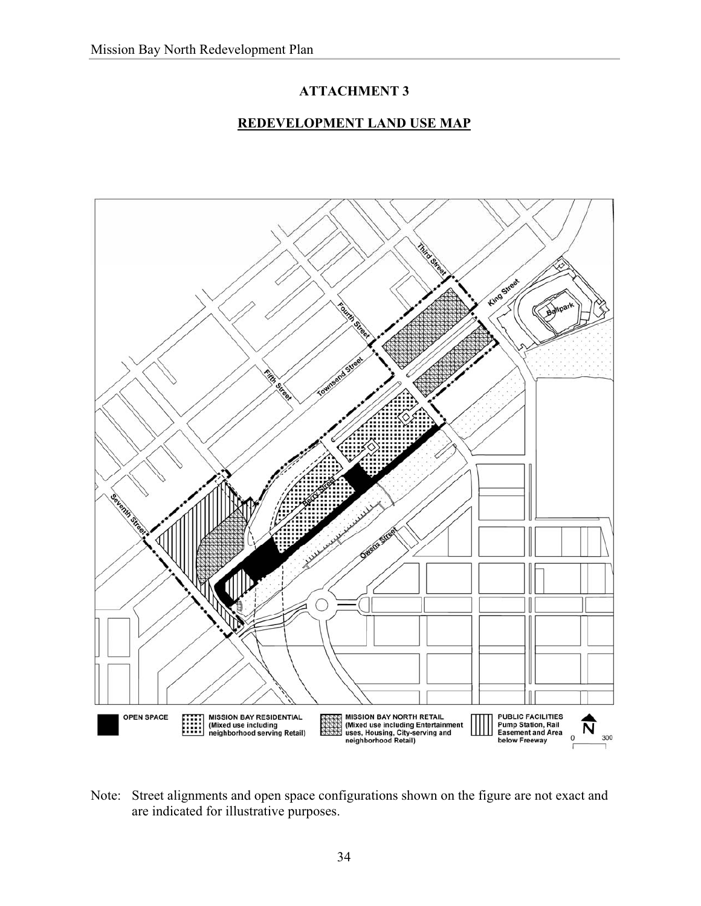# **REDEVELOPMENT LAND USE MAP**



Note: Street alignments and open space configurations shown on the figure are not exact and are indicated for illustrative purposes.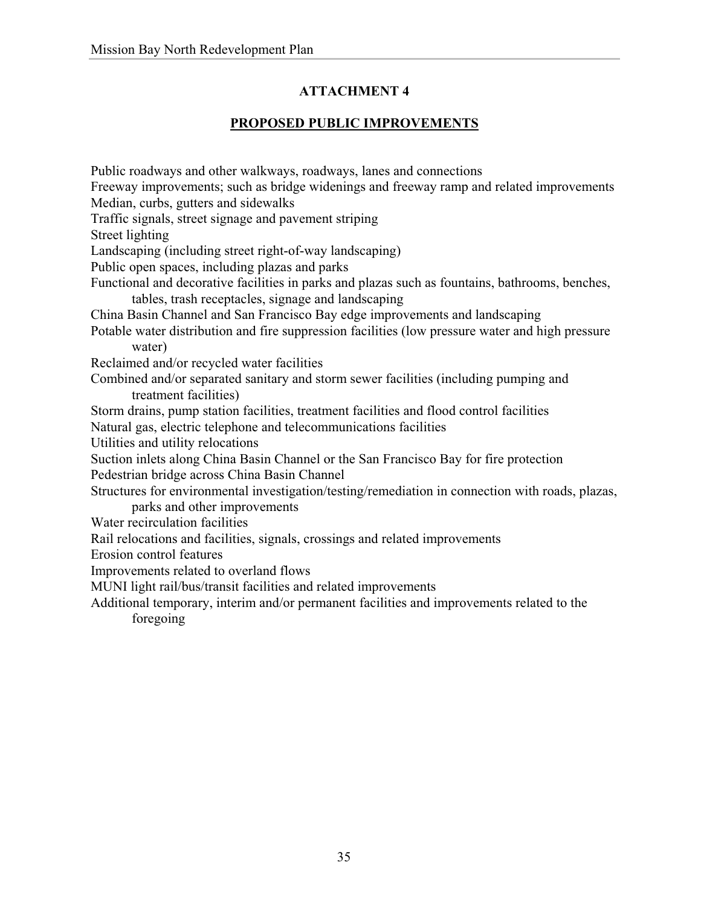# **PROPOSED PUBLIC IMPROVEMENTS**

Public roadways and other walkways, roadways, lanes and connections Freeway improvements; such as bridge widenings and freeway ramp and related improvements Median, curbs, gutters and sidewalks Traffic signals, street signage and pavement striping Street lighting Landscaping (including street right-of-way landscaping) Public open spaces, including plazas and parks Functional and decorative facilities in parks and plazas such as fountains, bathrooms, benches, tables, trash receptacles, signage and landscaping China Basin Channel and San Francisco Bay edge improvements and landscaping Potable water distribution and fire suppression facilities (low pressure water and high pressure water) Reclaimed and/or recycled water facilities Combined and/or separated sanitary and storm sewer facilities (including pumping and treatment facilities) Storm drains, pump station facilities, treatment facilities and flood control facilities Natural gas, electric telephone and telecommunications facilities Utilities and utility relocations Suction inlets along China Basin Channel or the San Francisco Bay for fire protection Pedestrian bridge across China Basin Channel Structures for environmental investigation/testing/remediation in connection with roads, plazas, parks and other improvements Water recirculation facilities Rail relocations and facilities, signals, crossings and related improvements Erosion control features Improvements related to overland flows MUNI light rail/bus/transit facilities and related improvements Additional temporary, interim and/or permanent facilities and improvements related to the foregoing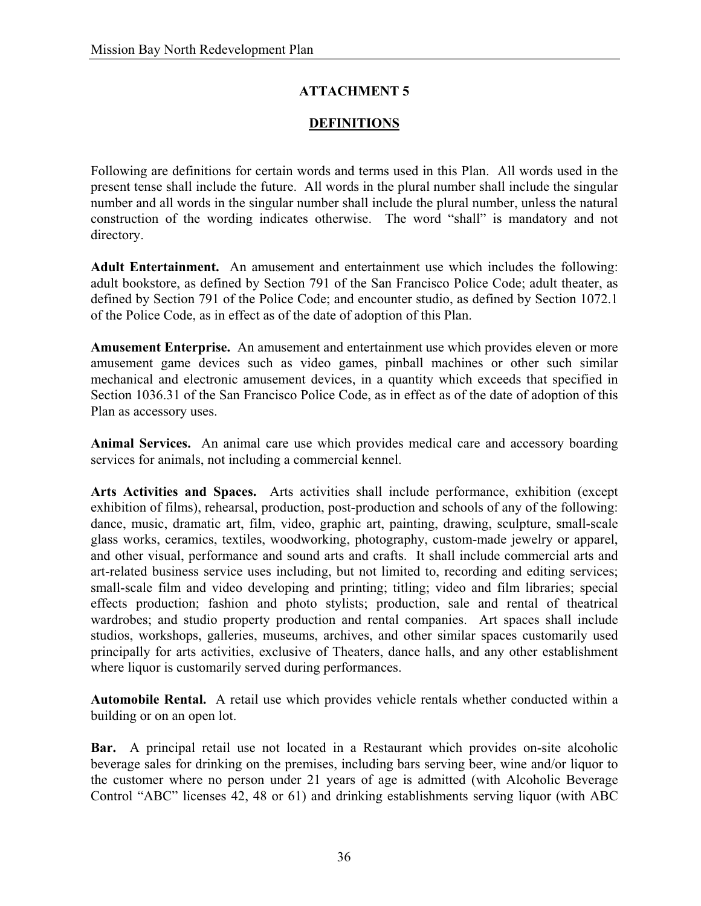# **DEFINITIONS**

Following are definitions for certain words and terms used in this Plan. All words used in the present tense shall include the future. All words in the plural number shall include the singular number and all words in the singular number shall include the plural number, unless the natural construction of the wording indicates otherwise. The word "shall" is mandatory and not directory.

**Adult Entertainment.** An amusement and entertainment use which includes the following: adult bookstore, as defined by Section 791 of the San Francisco Police Code; adult theater, as defined by Section 791 of the Police Code; and encounter studio, as defined by Section 1072.1 of the Police Code, as in effect as of the date of adoption of this Plan.

**Amusement Enterprise.** An amusement and entertainment use which provides eleven or more amusement game devices such as video games, pinball machines or other such similar mechanical and electronic amusement devices, in a quantity which exceeds that specified in Section 1036.31 of the San Francisco Police Code, as in effect as of the date of adoption of this Plan as accessory uses.

**Animal Services.** An animal care use which provides medical care and accessory boarding services for animals, not including a commercial kennel.

**Arts Activities and Spaces.** Arts activities shall include performance, exhibition (except exhibition of films), rehearsal, production, post-production and schools of any of the following: dance, music, dramatic art, film, video, graphic art, painting, drawing, sculpture, small-scale glass works, ceramics, textiles, woodworking, photography, custom-made jewelry or apparel, and other visual, performance and sound arts and crafts. It shall include commercial arts and art-related business service uses including, but not limited to, recording and editing services; small-scale film and video developing and printing; titling; video and film libraries; special effects production; fashion and photo stylists; production, sale and rental of theatrical wardrobes; and studio property production and rental companies. Art spaces shall include studios, workshops, galleries, museums, archives, and other similar spaces customarily used principally for arts activities, exclusive of Theaters, dance halls, and any other establishment where liquor is customarily served during performances.

**Automobile Rental.** A retail use which provides vehicle rentals whether conducted within a building or on an open lot.

**Bar.** A principal retail use not located in a Restaurant which provides on-site alcoholic beverage sales for drinking on the premises, including bars serving beer, wine and/or liquor to the customer where no person under 21 years of age is admitted (with Alcoholic Beverage Control "ABC" licenses 42, 48 or 61) and drinking establishments serving liquor (with ABC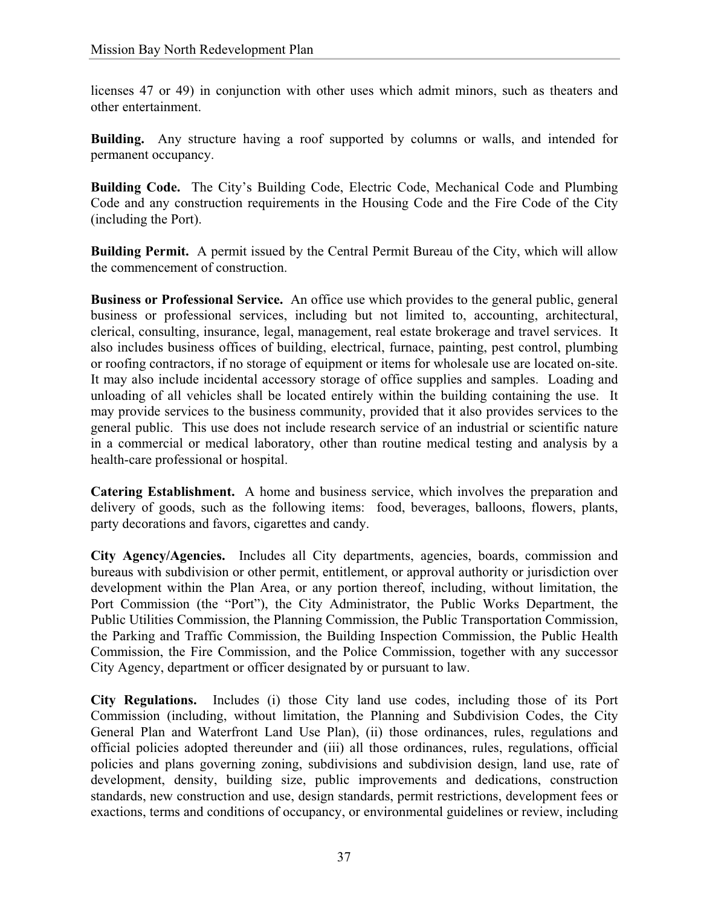licenses 47 or 49) in conjunction with other uses which admit minors, such as theaters and other entertainment.

**Building.** Any structure having a roof supported by columns or walls, and intended for permanent occupancy.

**Building Code.** The City's Building Code, Electric Code, Mechanical Code and Plumbing Code and any construction requirements in the Housing Code and the Fire Code of the City (including the Port).

**Building Permit.** A permit issued by the Central Permit Bureau of the City, which will allow the commencement of construction.

**Business or Professional Service.** An office use which provides to the general public, general business or professional services, including but not limited to, accounting, architectural, clerical, consulting, insurance, legal, management, real estate brokerage and travel services. It also includes business offices of building, electrical, furnace, painting, pest control, plumbing or roofing contractors, if no storage of equipment or items for wholesale use are located on-site. It may also include incidental accessory storage of office supplies and samples. Loading and unloading of all vehicles shall be located entirely within the building containing the use. It may provide services to the business community, provided that it also provides services to the general public. This use does not include research service of an industrial or scientific nature in a commercial or medical laboratory, other than routine medical testing and analysis by a health-care professional or hospital.

**Catering Establishment.** A home and business service, which involves the preparation and delivery of goods, such as the following items: food, beverages, balloons, flowers, plants, party decorations and favors, cigarettes and candy.

**City Agency/Agencies.** Includes all City departments, agencies, boards, commission and bureaus with subdivision or other permit, entitlement, or approval authority or jurisdiction over development within the Plan Area, or any portion thereof, including, without limitation, the Port Commission (the "Port"), the City Administrator, the Public Works Department, the Public Utilities Commission, the Planning Commission, the Public Transportation Commission, the Parking and Traffic Commission, the Building Inspection Commission, the Public Health Commission, the Fire Commission, and the Police Commission, together with any successor City Agency, department or officer designated by or pursuant to law.

**City Regulations.** Includes (i) those City land use codes, including those of its Port Commission (including, without limitation, the Planning and Subdivision Codes, the City General Plan and Waterfront Land Use Plan), (ii) those ordinances, rules, regulations and official policies adopted thereunder and (iii) all those ordinances, rules, regulations, official policies and plans governing zoning, subdivisions and subdivision design, land use, rate of development, density, building size, public improvements and dedications, construction standards, new construction and use, design standards, permit restrictions, development fees or exactions, terms and conditions of occupancy, or environmental guidelines or review, including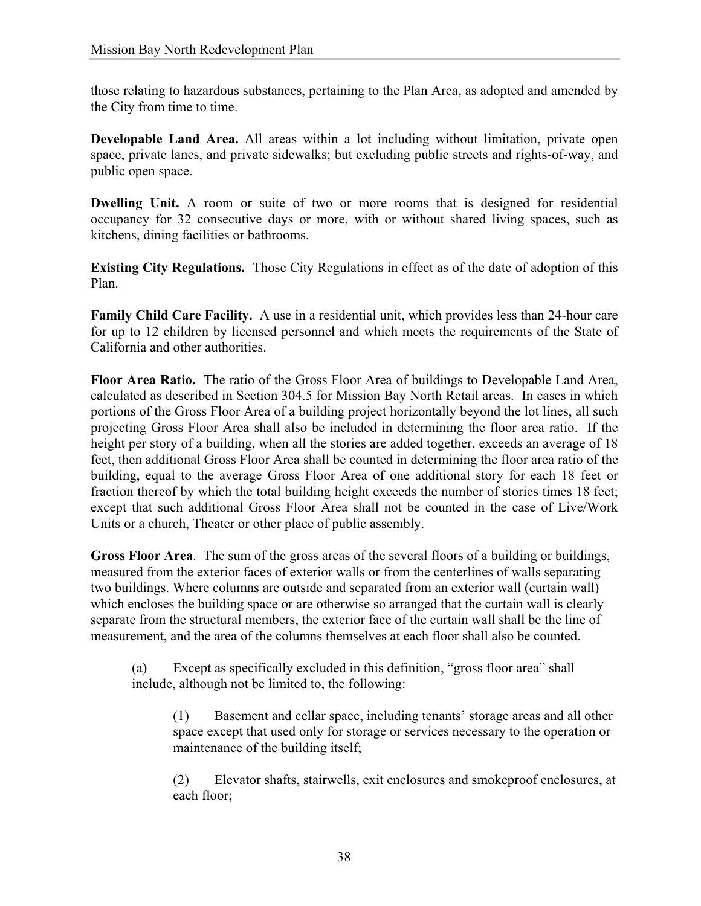those relating to hazardous substances, pertaining to the Plan Area, as adopted and amended by the City from time to time.

**Developable Land Area.** All areas within a lot including without limitation, private open space, private lanes, and private sidewalks; but excluding public streets and rights-of-way, and public open space.

**Dwelling Unit.** A room or suite of two or more rooms that is designed for residential occupancy for 32 consecutive days or more, with or without shared living spaces, such as kitchens, dining facilities or bathrooms.

**Existing City Regulations.** Those City Regulations in effect as of the date of adoption of this Plan.

**Family Child Care Facility.** A use in a residential unit, which provides less than 24-hour care for up to 12 children by licensed personnel and which meets the requirements of the State of California and other authorities.

**Floor Area Ratio.** The ratio of the Gross Floor Area of buildings to Developable Land Area, calculated as described in Section 304.5 for Mission Bay North Retail areas. In cases in which portions of the Gross Floor Area of a building project horizontally beyond the lot lines, all such projecting Gross Floor Area shall also be included in determining the floor area ratio. If the height per story of a building, when all the stories are added together, exceeds an average of 18 feet, then additional Gross Floor Area shall be counted in determining the floor area ratio of the building, equal to the average Gross Floor Area of one additional story for each 18 feet or fraction thereof by which the total building height exceeds the number of stories times 18 feet; except that such additional Gross Floor Area shall not be counted in the case of Live/Work Units or a church, Theater or other place of public assembly.

**Gross Floor Area**. The sum of the gross areas of the several floors of a building or buildings, measured from the exterior faces of exterior walls or from the centerlines of walls separating two buildings. Where columns are outside and separated from an exterior wall (curtain wall) which encloses the building space or are otherwise so arranged that the curtain wall is clearly separate from the structural members, the exterior face of the curtain wall shall be the line of measurement, and the area of the columns themselves at each floor shall also be counted.

(a) Except as specifically excluded in this definition, "gross floor area" shall include, although not be limited to, the following:

(1) Basement and cellar space, including tenants' storage areas and all other space except that used only for storage or services necessary to the operation or maintenance of the building itself;

(2) Elevator shafts, stairwells, exit enclosures and smokeproof enclosures, at each floor;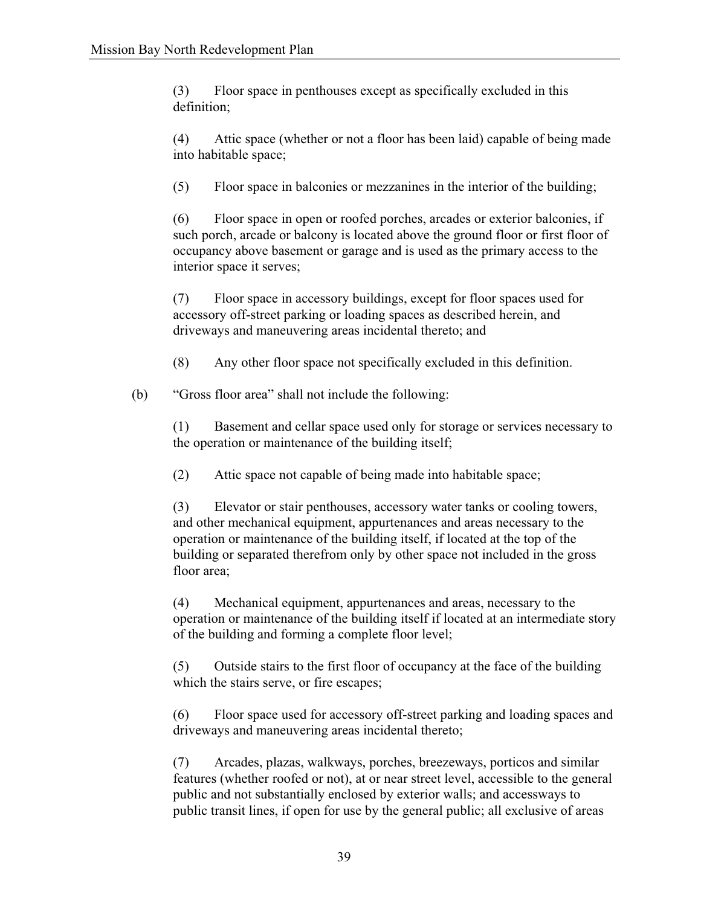(3) Floor space in penthouses except as specifically excluded in this definition;

(4) Attic space (whether or not a floor has been laid) capable of being made into habitable space;

(5) Floor space in balconies or mezzanines in the interior of the building;

(6) Floor space in open or roofed porches, arcades or exterior balconies, if such porch, arcade or balcony is located above the ground floor or first floor of occupancy above basement or garage and is used as the primary access to the interior space it serves;

(7) Floor space in accessory buildings, except for floor spaces used for accessory off-street parking or loading spaces as described herein, and driveways and maneuvering areas incidental thereto; and

(8) Any other floor space not specifically excluded in this definition.

(b) "Gross floor area" shall not include the following:

(1) Basement and cellar space used only for storage or services necessary to the operation or maintenance of the building itself;

(2) Attic space not capable of being made into habitable space;

(3) Elevator or stair penthouses, accessory water tanks or cooling towers, and other mechanical equipment, appurtenances and areas necessary to the operation or maintenance of the building itself, if located at the top of the building or separated therefrom only by other space not included in the gross floor area;

(4) Mechanical equipment, appurtenances and areas, necessary to the operation or maintenance of the building itself if located at an intermediate story of the building and forming a complete floor level;

(5) Outside stairs to the first floor of occupancy at the face of the building which the stairs serve, or fire escapes;

(6) Floor space used for accessory off-street parking and loading spaces and driveways and maneuvering areas incidental thereto;

(7) Arcades, plazas, walkways, porches, breezeways, porticos and similar features (whether roofed or not), at or near street level, accessible to the general public and not substantially enclosed by exterior walls; and accessways to public transit lines, if open for use by the general public; all exclusive of areas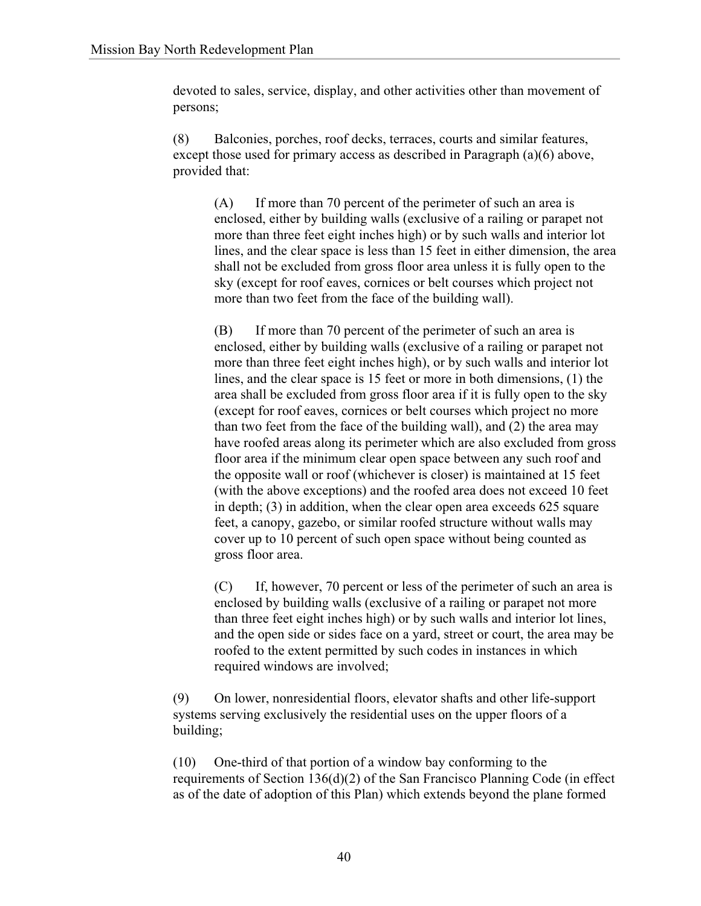devoted to sales, service, display, and other activities other than movement of persons;

(8) Balconies, porches, roof decks, terraces, courts and similar features, except those used for primary access as described in Paragraph (a)(6) above, provided that:

(A) If more than 70 percent of the perimeter of such an area is enclosed, either by building walls (exclusive of a railing or parapet not more than three feet eight inches high) or by such walls and interior lot lines, and the clear space is less than 15 feet in either dimension, the area shall not be excluded from gross floor area unless it is fully open to the sky (except for roof eaves, cornices or belt courses which project not more than two feet from the face of the building wall).

(B) If more than 70 percent of the perimeter of such an area is enclosed, either by building walls (exclusive of a railing or parapet not more than three feet eight inches high), or by such walls and interior lot lines, and the clear space is 15 feet or more in both dimensions, (1) the area shall be excluded from gross floor area if it is fully open to the sky (except for roof eaves, cornices or belt courses which project no more than two feet from the face of the building wall), and (2) the area may have roofed areas along its perimeter which are also excluded from gross floor area if the minimum clear open space between any such roof and the opposite wall or roof (whichever is closer) is maintained at 15 feet (with the above exceptions) and the roofed area does not exceed 10 feet in depth; (3) in addition, when the clear open area exceeds 625 square feet, a canopy, gazebo, or similar roofed structure without walls may cover up to 10 percent of such open space without being counted as gross floor area.

(C) If, however, 70 percent or less of the perimeter of such an area is enclosed by building walls (exclusive of a railing or parapet not more than three feet eight inches high) or by such walls and interior lot lines, and the open side or sides face on a yard, street or court, the area may be roofed to the extent permitted by such codes in instances in which required windows are involved;

(9) On lower, nonresidential floors, elevator shafts and other life-support systems serving exclusively the residential uses on the upper floors of a building;

(10) One-third of that portion of a window bay conforming to the requirements of Section 136(d)(2) of the San Francisco Planning Code (in effect as of the date of adoption of this Plan) which extends beyond the plane formed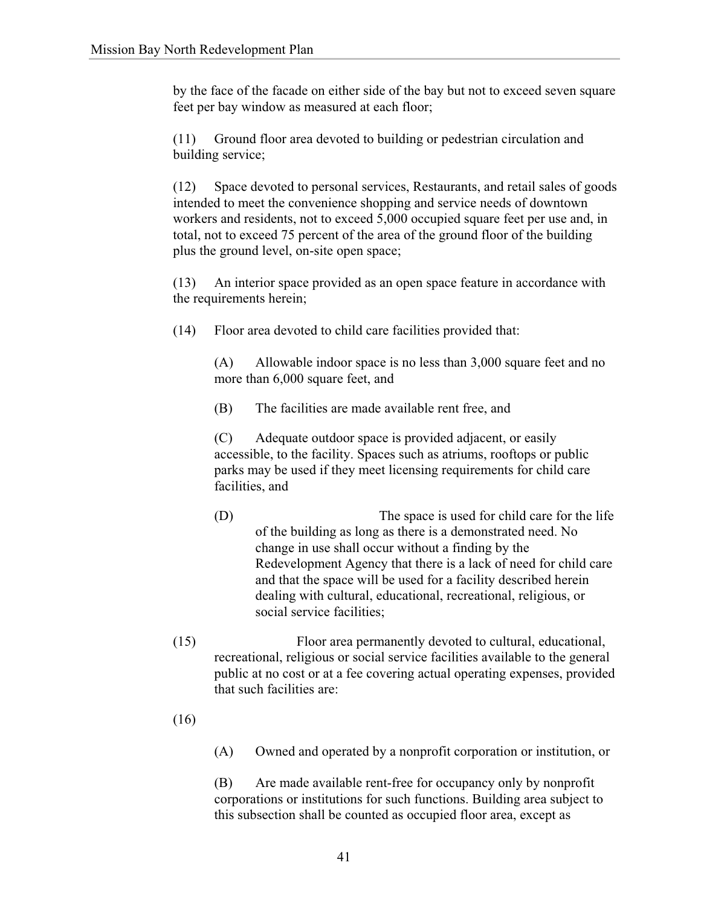by the face of the facade on either side of the bay but not to exceed seven square feet per bay window as measured at each floor;

(11) Ground floor area devoted to building or pedestrian circulation and building service;

(12) Space devoted to personal services, Restaurants, and retail sales of goods intended to meet the convenience shopping and service needs of downtown workers and residents, not to exceed 5,000 occupied square feet per use and, in total, not to exceed 75 percent of the area of the ground floor of the building plus the ground level, on-site open space;

(13) An interior space provided as an open space feature in accordance with the requirements herein;

(14) Floor area devoted to child care facilities provided that:

(A) Allowable indoor space is no less than 3,000 square feet and no more than 6,000 square feet, and

(B) The facilities are made available rent free, and

(C) Adequate outdoor space is provided adjacent, or easily accessible, to the facility. Spaces such as atriums, rooftops or public parks may be used if they meet licensing requirements for child care facilities, and

(D) The space is used for child care for the life of the building as long as there is a demonstrated need. No change in use shall occur without a finding by the Redevelopment Agency that there is a lack of need for child care and that the space will be used for a facility described herein dealing with cultural, educational, recreational, religious, or social service facilities;

- (15) Floor area permanently devoted to cultural, educational, recreational, religious or social service facilities available to the general public at no cost or at a fee covering actual operating expenses, provided that such facilities are:
- (16)

(A) Owned and operated by a nonprofit corporation or institution, or

(B) Are made available rent-free for occupancy only by nonprofit corporations or institutions for such functions. Building area subject to this subsection shall be counted as occupied floor area, except as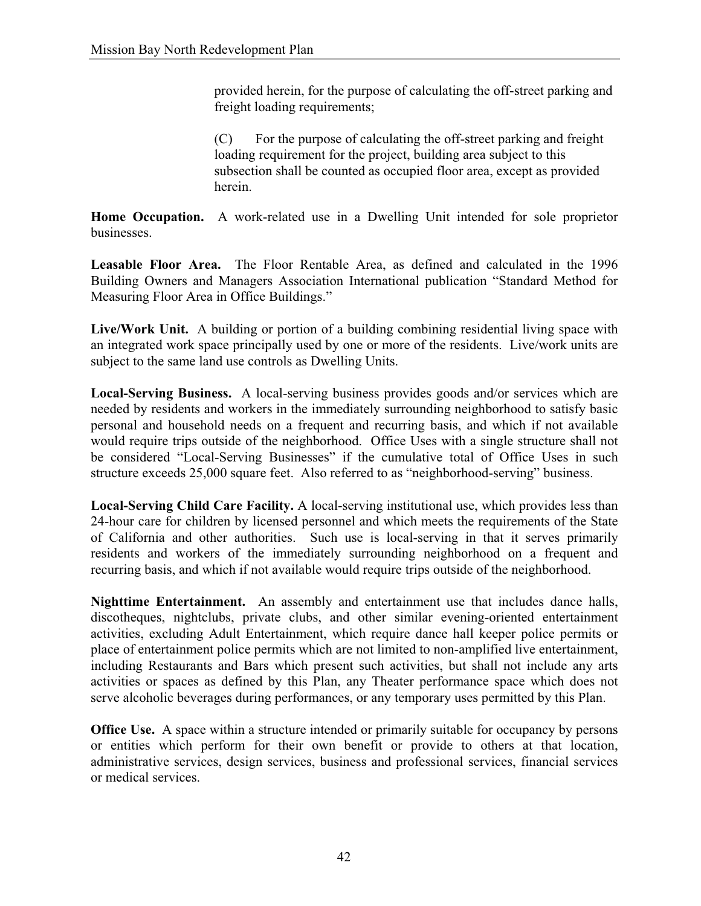provided herein, for the purpose of calculating the off-street parking and freight loading requirements;

(C) For the purpose of calculating the off-street parking and freight loading requirement for the project, building area subject to this subsection shall be counted as occupied floor area, except as provided herein.

**Home Occupation.** A work-related use in a Dwelling Unit intended for sole proprietor businesses.

**Leasable Floor Area.** The Floor Rentable Area, as defined and calculated in the 1996 Building Owners and Managers Association International publication "Standard Method for Measuring Floor Area in Office Buildings."

**Live/Work Unit.** A building or portion of a building combining residential living space with an integrated work space principally used by one or more of the residents. Live/work units are subject to the same land use controls as Dwelling Units.

**Local-Serving Business.** A local-serving business provides goods and/or services which are needed by residents and workers in the immediately surrounding neighborhood to satisfy basic personal and household needs on a frequent and recurring basis, and which if not available would require trips outside of the neighborhood. Office Uses with a single structure shall not be considered "Local-Serving Businesses" if the cumulative total of Office Uses in such structure exceeds 25,000 square feet. Also referred to as "neighborhood-serving" business.

**Local-Serving Child Care Facility.** A local-serving institutional use, which provides less than 24-hour care for children by licensed personnel and which meets the requirements of the State of California and other authorities. Such use is local-serving in that it serves primarily residents and workers of the immediately surrounding neighborhood on a frequent and recurring basis, and which if not available would require trips outside of the neighborhood.

**Nighttime Entertainment.** An assembly and entertainment use that includes dance halls, discotheques, nightclubs, private clubs, and other similar evening-oriented entertainment activities, excluding Adult Entertainment, which require dance hall keeper police permits or place of entertainment police permits which are not limited to non-amplified live entertainment, including Restaurants and Bars which present such activities, but shall not include any arts activities or spaces as defined by this Plan, any Theater performance space which does not serve alcoholic beverages during performances, or any temporary uses permitted by this Plan.

**Office Use.** A space within a structure intended or primarily suitable for occupancy by persons or entities which perform for their own benefit or provide to others at that location, administrative services, design services, business and professional services, financial services or medical services.